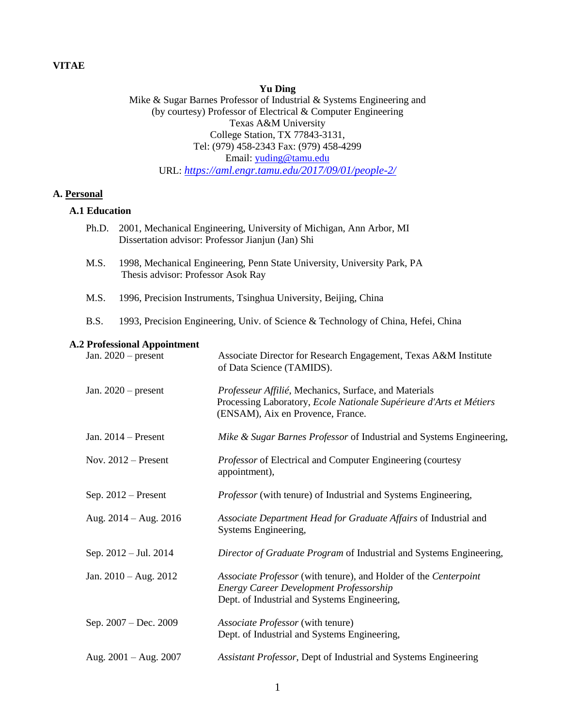# **Yu Ding**

Mike & Sugar Barnes Professor of Industrial & Systems Engineering and (by courtesy) Professor of Electrical & Computer Engineering Texas A&M University College Station, TX 77843-3131, Tel: (979) 458-2343 Fax: (979) 458-4299 Email: [yuding@tamu.edu](mailto:yuding@tamu.edu) URL: *<https://aml.engr.tamu.edu/2017/09/01/people-2/>*

## **A. Personal**

### **A.1 Education**

|  | Ph.D.                                                                                                                                                                                                                                                                                                  | 2001, Mechanical Engineering, University of Michigan, Ann Arbor, MI<br>Dissertation advisor: Professor Jianjun (Jan) Shi |                                                                                                                                                                    |
|--|--------------------------------------------------------------------------------------------------------------------------------------------------------------------------------------------------------------------------------------------------------------------------------------------------------|--------------------------------------------------------------------------------------------------------------------------|--------------------------------------------------------------------------------------------------------------------------------------------------------------------|
|  | M.S.<br>1998, Mechanical Engineering, Penn State University, University Park, PA<br>Thesis advisor: Professor Asok Ray<br>M.S.<br>1996, Precision Instruments, Tsinghua University, Beijing, China<br><b>B.S.</b><br>1993, Precision Engineering, Univ. of Science & Technology of China, Hefei, China |                                                                                                                          |                                                                                                                                                                    |
|  |                                                                                                                                                                                                                                                                                                        |                                                                                                                          |                                                                                                                                                                    |
|  |                                                                                                                                                                                                                                                                                                        |                                                                                                                          |                                                                                                                                                                    |
|  | <b>A.2 Professional Appointment</b>                                                                                                                                                                                                                                                                    |                                                                                                                          |                                                                                                                                                                    |
|  |                                                                                                                                                                                                                                                                                                        | Jan. $2020$ – present                                                                                                    | Associate Director for Research Engagement, Texas A&M Institute<br>of Data Science (TAMIDS).                                                                       |
|  | Jan. $2020$ – present<br>Jan. $2014$ – Present                                                                                                                                                                                                                                                         |                                                                                                                          | Professeur Affilié, Mechanics, Surface, and Materials<br>Processing Laboratory, Ecole Nationale Supérieure d'Arts et Métiers<br>(ENSAM), Aix en Provence, France.  |
|  |                                                                                                                                                                                                                                                                                                        |                                                                                                                          | Mike & Sugar Barnes Professor of Industrial and Systems Engineering,                                                                                               |
|  |                                                                                                                                                                                                                                                                                                        | Nov. $2012$ – Present                                                                                                    | Professor of Electrical and Computer Engineering (courtesy<br>appointment),                                                                                        |
|  |                                                                                                                                                                                                                                                                                                        | Sep. 2012 - Present                                                                                                      | Professor (with tenure) of Industrial and Systems Engineering,                                                                                                     |
|  |                                                                                                                                                                                                                                                                                                        | Aug. $2014 - Aug. 2016$                                                                                                  | Associate Department Head for Graduate Affairs of Industrial and<br>Systems Engineering,                                                                           |
|  |                                                                                                                                                                                                                                                                                                        | Sep. 2012 – Jul. 2014                                                                                                    | Director of Graduate Program of Industrial and Systems Engineering,                                                                                                |
|  |                                                                                                                                                                                                                                                                                                        | Jan. $2010 - Aug. 2012$                                                                                                  | Associate Professor (with tenure), and Holder of the Centerpoint<br><b>Energy Career Development Professorship</b><br>Dept. of Industrial and Systems Engineering, |
|  |                                                                                                                                                                                                                                                                                                        | Sep. 2007 - Dec. 2009                                                                                                    | Associate Professor (with tenure)<br>Dept. of Industrial and Systems Engineering,                                                                                  |
|  |                                                                                                                                                                                                                                                                                                        | Aug. $2001 - Aug. 2007$                                                                                                  | Assistant Professor, Dept of Industrial and Systems Engineering                                                                                                    |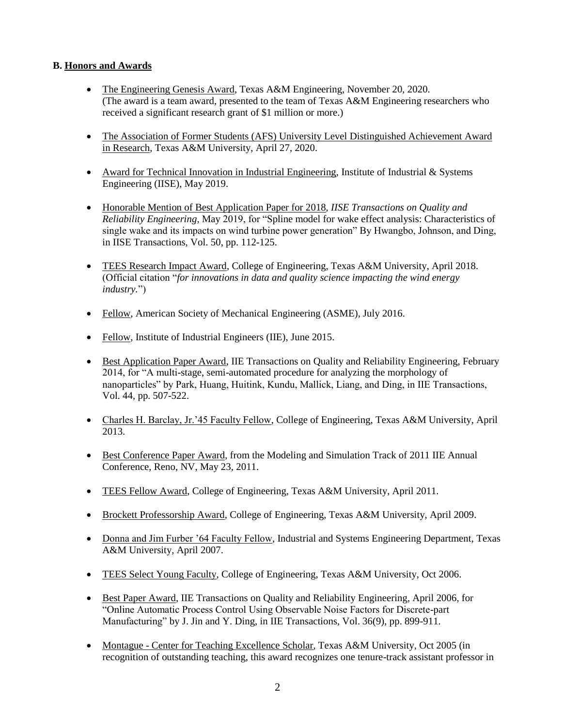# **B. Honors and Awards**

- The Engineering Genesis Award, Texas A&M Engineering, November 20, 2020. (The award is a team award, presented to the team of Texas A&M Engineering researchers who received a significant research grant of \$1 million or more.)
- The Association of Former Students (AFS) University Level Distinguished Achievement Award in Research, Texas A&M University, April 27, 2020.
- Award for Technical Innovation in Industrial Engineering, Institute of Industrial & Systems Engineering (IISE), May 2019.
- Honorable Mention of Best Application Paper for 2018, *IISE Transactions on Quality and Reliability Engineering*, May 2019, for "Spline model for wake effect analysis: Characteristics of single wake and its impacts on wind turbine power generation" By Hwangbo, Johnson, and Ding, in IISE Transactions, Vol. 50, pp. 112-125.
- TEES Research Impact Award, College of Engineering, Texas A&M University, April 2018. (Official citation "*for innovations in data and quality science impacting the wind energy industry.*")
- Fellow, American Society of Mechanical Engineering (ASME), July 2016.
- Fellow, Institute of Industrial Engineers (IIE), June 2015.
- Best Application Paper Award, IIE Transactions on Quality and Reliability Engineering, February 2014, for "A multi-stage, semi-automated procedure for analyzing the morphology of nanoparticles" by Park, Huang, Huitink, Kundu, Mallick, Liang, and Ding, in IIE Transactions, Vol. 44, pp. 507-522.
- Charles H. Barclay, Jr.'45 Faculty Fellow, College of Engineering, Texas A&M University, April 2013.
- Best Conference Paper Award, from the Modeling and Simulation Track of 2011 IIE Annual Conference, Reno, NV, May 23, 2011.
- TEES Fellow Award, College of Engineering, Texas A&M University, April 2011.
- Brockett Professorship Award, College of Engineering, Texas A&M University, April 2009.
- Donna and Jim Furber '64 Faculty Fellow, Industrial and Systems Engineering Department, Texas A&M University, April 2007.
- TEES Select Young Faculty, College of Engineering, Texas A&M University, Oct 2006.
- Best Paper Award, IIE Transactions on Quality and Reliability Engineering, April 2006, for "Online Automatic Process Control Using Observable Noise Factors for Discrete-part Manufacturing" by J. Jin and Y. Ding, in IIE Transactions, Vol. 36(9), pp. 899-911.
- Montague Center for Teaching Excellence Scholar, Texas A&M University, Oct 2005 (in recognition of outstanding teaching, this award recognizes one tenure-track assistant professor in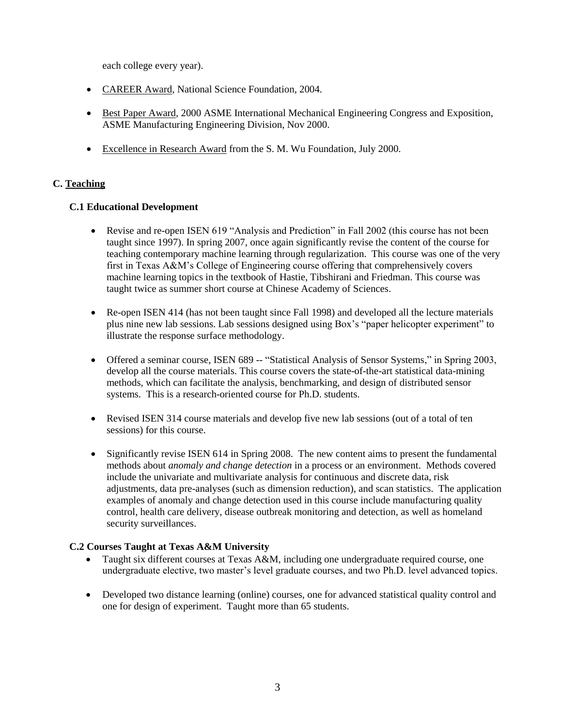each college every year).

- CAREER Award, National Science Foundation, 2004.
- Best Paper Award, 2000 ASME International Mechanical Engineering Congress and Exposition, ASME Manufacturing Engineering Division, Nov 2000.
- Excellence in Research Award from the S. M. Wu Foundation, July 2000.

# **C. Teaching**

## **C.1 Educational Development**

- Revise and re-open ISEN 619 "Analysis and Prediction" in Fall 2002 (this course has not been taught since 1997). In spring 2007, once again significantly revise the content of the course for teaching contemporary machine learning through regularization. This course was one of the very first in Texas A&M's College of Engineering course offering that comprehensively covers machine learning topics in the textbook of Hastie, Tibshirani and Friedman. This course was taught twice as summer short course at Chinese Academy of Sciences.
- Re-open ISEN 414 (has not been taught since Fall 1998) and developed all the lecture materials plus nine new lab sessions. Lab sessions designed using Box's "paper helicopter experiment" to illustrate the response surface methodology.
- Offered a seminar course, ISEN 689 -- "Statistical Analysis of Sensor Systems," in Spring 2003, develop all the course materials. This course covers the state-of-the-art statistical data-mining methods, which can facilitate the analysis, benchmarking, and design of distributed sensor systems. This is a research-oriented course for Ph.D. students.
- Revised ISEN 314 course materials and develop five new lab sessions (out of a total of ten sessions) for this course.
- Significantly revise ISEN 614 in Spring 2008. The new content aims to present the fundamental methods about *anomaly and change detection* in a process or an environment. Methods covered include the univariate and multivariate analysis for continuous and discrete data, risk adjustments, data pre-analyses (such as dimension reduction), and scan statistics. The application examples of anomaly and change detection used in this course include manufacturing quality control, health care delivery, disease outbreak monitoring and detection, as well as homeland security surveillances.

### **C.2 Courses Taught at Texas A&M University**

- Taught six different courses at Texas A&M, including one undergraduate required course, one undergraduate elective, two master's level graduate courses, and two Ph.D. level advanced topics.
- Developed two distance learning (online) courses, one for advanced statistical quality control and one for design of experiment. Taught more than 65 students.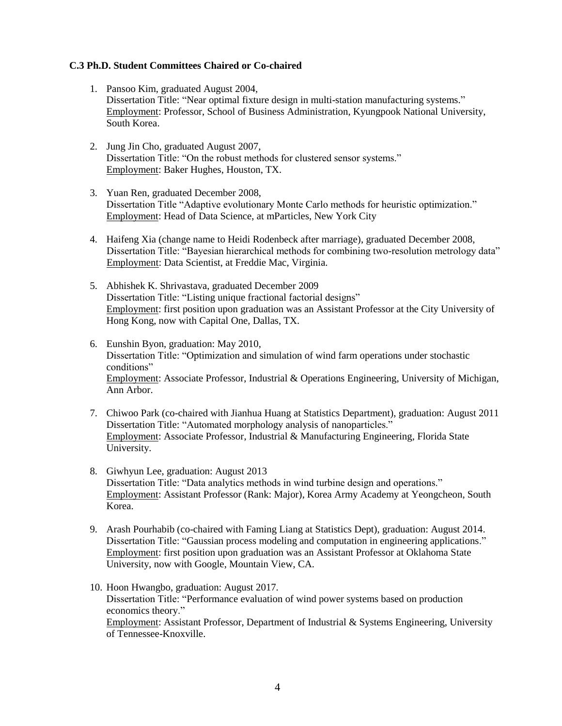## **C.3 Ph.D. Student Committees Chaired or Co-chaired**

- 1. Pansoo Kim, graduated August 2004, Dissertation Title: "Near optimal fixture design in multi-station manufacturing systems." Employment: Professor, School of Business Administration, Kyungpook National University, South Korea.
- 2. Jung Jin Cho, graduated August 2007, Dissertation Title: "On the robust methods for clustered sensor systems." Employment: Baker Hughes, Houston, TX.
- 3. Yuan Ren, graduated December 2008, Dissertation Title "Adaptive evolutionary Monte Carlo methods for heuristic optimization." Employment: Head of Data Science, at mParticles, New York City
- 4. Haifeng Xia (change name to Heidi Rodenbeck after marriage), graduated December 2008, Dissertation Title: "Bayesian hierarchical methods for combining two-resolution metrology data" Employment: Data Scientist, at Freddie Mac, Virginia.
- 5. Abhishek K. Shrivastava, graduated December 2009 Dissertation Title: "Listing unique fractional factorial designs" Employment: first position upon graduation was an Assistant Professor at the City University of Hong Kong, now with Capital One, Dallas, TX.
- 6. Eunshin Byon, graduation: May 2010, Dissertation Title: "Optimization and simulation of wind farm operations under stochastic conditions" Employment: Associate Professor, Industrial & Operations Engineering, University of Michigan, Ann Arbor.
- 7. Chiwoo Park (co-chaired with Jianhua Huang at Statistics Department), graduation: August 2011 Dissertation Title: "Automated morphology analysis of nanoparticles." Employment: Associate Professor, Industrial & Manufacturing Engineering, Florida State University.
- 8. Giwhyun Lee, graduation: August 2013 Dissertation Title: "Data analytics methods in wind turbine design and operations." Employment: Assistant Professor (Rank: Major), Korea Army Academy at Yeongcheon, South Korea.
- 9. Arash Pourhabib (co-chaired with Faming Liang at Statistics Dept), graduation: August 2014. Dissertation Title: "Gaussian process modeling and computation in engineering applications." Employment: first position upon graduation was an Assistant Professor at Oklahoma State University, now with Google, Mountain View, CA.
- 10. Hoon Hwangbo, graduation: August 2017. Dissertation Title: "Performance evaluation of wind power systems based on production economics theory." Employment: Assistant Professor, Department of Industrial & Systems Engineering, University of Tennessee-Knoxville.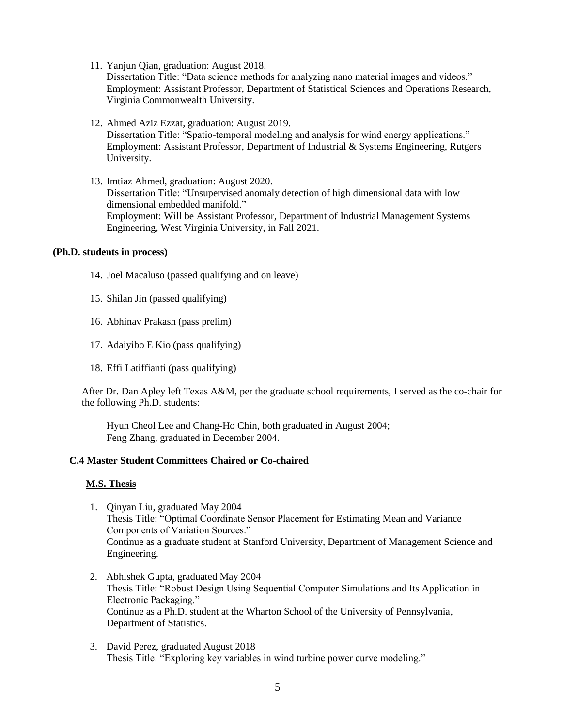11. Yanjun Qian, graduation: August 2018.

Dissertation Title: "Data science methods for analyzing nano material images and videos." Employment: Assistant Professor, Department of Statistical Sciences and Operations Research, Virginia Commonwealth University.

- 12. Ahmed Aziz Ezzat, graduation: August 2019. Dissertation Title: "Spatio-temporal modeling and analysis for wind energy applications." Employment: Assistant Professor, Department of Industrial & Systems Engineering, Rutgers University.
- 13. Imtiaz Ahmed, graduation: August 2020. Dissertation Title: "Unsupervised anomaly detection of high dimensional data with low dimensional embedded manifold." Employment: Will be Assistant Professor, Department of Industrial Management Systems Engineering, West Virginia University, in Fall 2021.

### **(Ph.D. students in process)**

- 14. Joel Macaluso (passed qualifying and on leave)
- 15. Shilan Jin (passed qualifying)
- 16. Abhinav Prakash (pass prelim)
- 17. Adaiyibo E Kio (pass qualifying)
- 18. Effi Latiffianti (pass qualifying)

After Dr. Dan Apley left Texas A&M, per the graduate school requirements, I served as the co-chair for the following Ph.D. students:

Hyun Cheol Lee and Chang-Ho Chin, both graduated in August 2004; Feng Zhang, graduated in December 2004.

# **C.4 Master Student Committees Chaired or Co-chaired**

### **M.S. Thesis**

- 1. Qinyan Liu, graduated May 2004 Thesis Title: "Optimal Coordinate Sensor Placement for Estimating Mean and Variance Components of Variation Sources." Continue as a graduate student at Stanford University, Department of Management Science and Engineering.
- 2. Abhishek Gupta, graduated May 2004 Thesis Title: "Robust Design Using Sequential Computer Simulations and Its Application in Electronic Packaging." Continue as a Ph.D. student at the Wharton School of the University of Pennsylvania, Department of Statistics.
- 3. David Perez, graduated August 2018 Thesis Title: "Exploring key variables in wind turbine power curve modeling."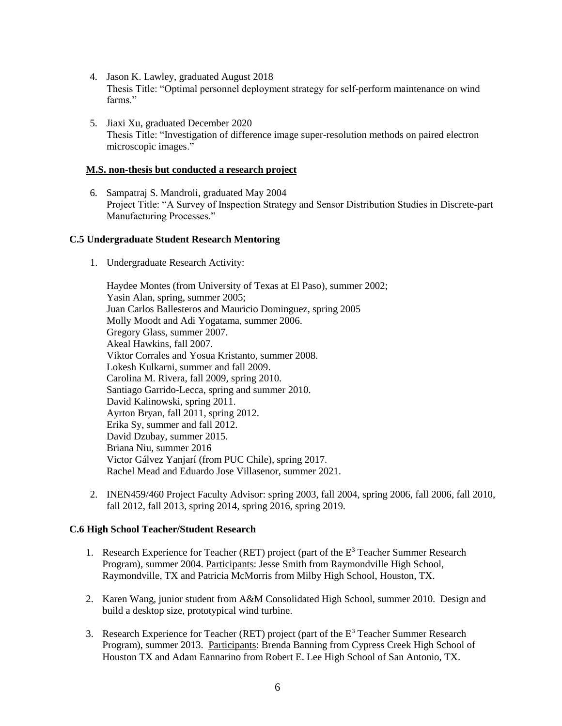- 4. Jason K. Lawley, graduated August 2018 Thesis Title: "Optimal personnel deployment strategy for self-perform maintenance on wind farms."
- 5. Jiaxi Xu, graduated December 2020 Thesis Title: "Investigation of difference image super-resolution methods on paired electron microscopic images."

### **M.S. non-thesis but conducted a research project**

6. Sampatraj S. Mandroli, graduated May 2004 Project Title: "A Survey of Inspection Strategy and Sensor Distribution Studies in Discrete-part Manufacturing Processes."

### **C.5 Undergraduate Student Research Mentoring**

1. Undergraduate Research Activity:

Haydee Montes (from University of Texas at El Paso), summer 2002; Yasin Alan, spring, summer 2005; Juan Carlos Ballesteros and Mauricio Dominguez, spring 2005 Molly Moodt and Adi Yogatama, summer 2006. Gregory Glass, summer 2007. Akeal Hawkins, fall 2007. Viktor Corrales and Yosua Kristanto, summer 2008. Lokesh Kulkarni, summer and fall 2009. Carolina M. Rivera, fall 2009, spring 2010. Santiago Garrido-Lecca, spring and summer 2010. David Kalinowski, spring 2011. Ayrton Bryan, fall 2011, spring 2012. Erika Sy, summer and fall 2012. David Dzubay, summer 2015. Briana Niu, summer 2016 Victor Gálvez Yanjarí (from PUC Chile), spring 2017. Rachel Mead and Eduardo Jose Villasenor, summer 2021.

2. INEN459/460 Project Faculty Advisor: spring 2003, fall 2004, spring 2006, fall 2006, fall 2010, fall 2012, fall 2013, spring 2014, spring 2016, spring 2019.

### **C.6 High School Teacher/Student Research**

- 1. Research Experience for Teacher (RET) project (part of the  $E<sup>3</sup>$  Teacher Summer Research Program), summer 2004. Participants: Jesse Smith from Raymondville High School, Raymondville, TX and Patricia McMorris from Milby High School, Houston, TX.
- 2. Karen Wang, junior student from A&M Consolidated High School, summer 2010. Design and build a desktop size, prototypical wind turbine.
- 3. Research Experience for Teacher (RET) project (part of the  $E<sup>3</sup>$  Teacher Summer Research Program), summer 2013. Participants: Brenda Banning from Cypress Creek High School of Houston TX and Adam Eannarino from Robert E. Lee High School of San Antonio, TX.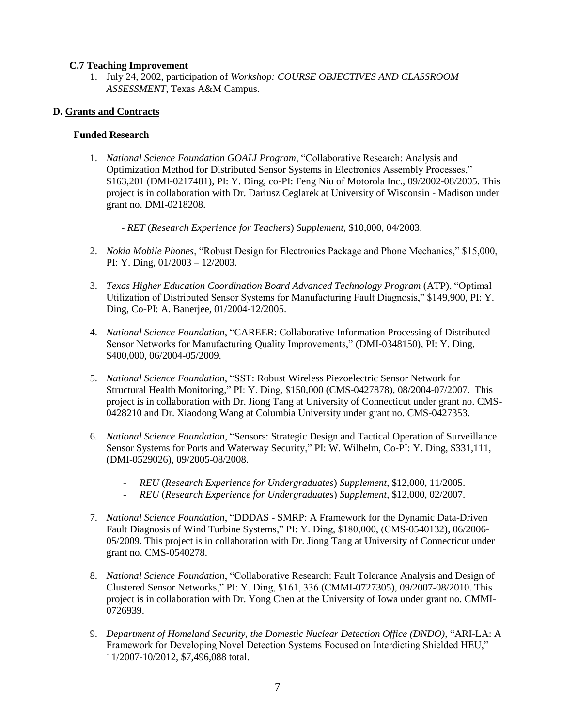### **C.7 Teaching Improvement**

1. July 24, 2002, participation of *Workshop: COURSE OBJECTIVES AND CLASSROOM ASSESSMENT*, Texas A&M Campus.

### **D. Grants and Contracts**

### **Funded Research**

- 1. *National Science Foundation GOALI Program*, "Collaborative Research: Analysis and Optimization Method for Distributed Sensor Systems in Electronics Assembly Processes," \$163,201 (DMI-0217481), PI: Y. Ding, co-PI: Feng Niu of Motorola Inc., 09/2002-08/2005. This project is in collaboration with Dr. Dariusz Ceglarek at University of Wisconsin - Madison under grant no. DMI-0218208.
	- *RET* (*Research Experience for Teachers*) *Supplement*, \$10,000, 04/2003.
- 2. *Nokia Mobile Phones*, "Robust Design for Electronics Package and Phone Mechanics," \$15,000, PI: Y. Ding, 01/2003 – 12/2003.
- 3. *Texas Higher Education Coordination Board Advanced Technology Program* (ATP), "Optimal Utilization of Distributed Sensor Systems for Manufacturing Fault Diagnosis," \$149,900, PI: Y. Ding, Co-PI: A. Banerjee, 01/2004-12/2005.
- 4. *National Science Foundation*, "CAREER: Collaborative Information Processing of Distributed Sensor Networks for Manufacturing Quality Improvements," (DMI-0348150), PI: Y. Ding, \$400,000, 06/2004-05/2009.
- 5. *National Science Foundation*, "SST: Robust Wireless Piezoelectric Sensor Network for Structural Health Monitoring," PI: Y. Ding, \$150,000 (CMS-0427878), 08/2004-07/2007. This project is in collaboration with Dr. Jiong Tang at University of Connecticut under grant no. CMS-0428210 and Dr. Xiaodong Wang at Columbia University under grant no. CMS-0427353.
- 6. *National Science Foundation*, "Sensors: Strategic Design and Tactical Operation of Surveillance Sensor Systems for Ports and Waterway Security," PI: W. Wilhelm, Co-PI: Y. Ding, \$331,111, (DMI-0529026), 09/2005-08/2008.
	- *REU* (*Research Experience for Undergraduates*) *Supplement*, \$12,000, 11/2005.
	- *REU* (*Research Experience for Undergraduates*) *Supplement*, \$12,000, 02/2007.
- 7. *National Science Foundation*, "DDDAS SMRP: A Framework for the Dynamic Data-Driven Fault Diagnosis of Wind Turbine Systems," PI: Y. Ding, \$180,000, (CMS-0540132), 06/2006- 05/2009. This project is in collaboration with Dr. Jiong Tang at University of Connecticut under grant no. CMS-0540278.
- 8. *National Science Foundation*, "Collaborative Research: Fault Tolerance Analysis and Design of Clustered Sensor Networks," PI: Y. Ding, \$161, 336 (CMMI-0727305), 09/2007-08/2010. This project is in collaboration with Dr. Yong Chen at the University of Iowa under grant no. CMMI-0726939.
- 9. *Department of Homeland Security, the Domestic Nuclear Detection Office (DNDO)*, "ARI-LA: A Framework for Developing Novel Detection Systems Focused on Interdicting Shielded HEU," 11/2007-10/2012, \$7,496,088 total.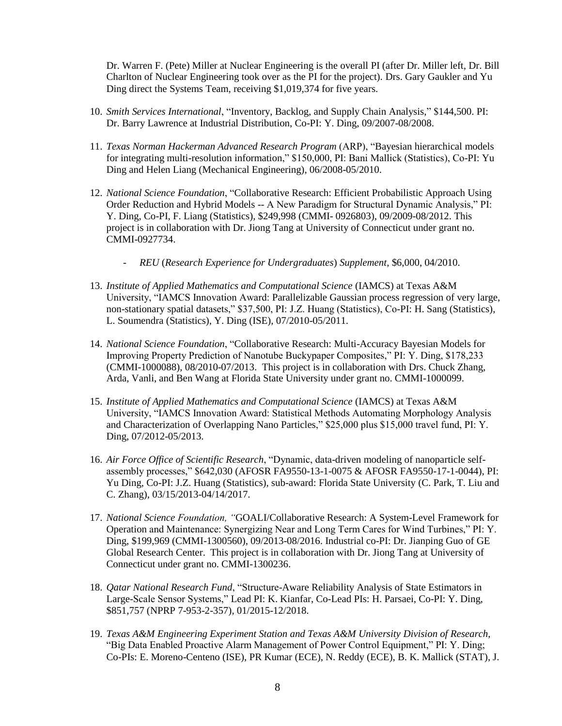Dr. Warren F. (Pete) Miller at Nuclear Engineering is the overall PI (after Dr. Miller left, Dr. Bill Charlton of Nuclear Engineering took over as the PI for the project). Drs. Gary Gaukler and Yu Ding direct the Systems Team, receiving \$1,019,374 for five years.

- 10. *Smith Services International*, "Inventory, Backlog, and Supply Chain Analysis," \$144,500. PI: Dr. Barry Lawrence at Industrial Distribution, Co-PI: Y. Ding, 09/2007-08/2008.
- 11. *Texas Norman Hackerman Advanced Research Program* (ARP), "Bayesian hierarchical models for integrating multi-resolution information," \$150,000, PI: Bani Mallick (Statistics), Co-PI: Yu Ding and Helen Liang (Mechanical Engineering), 06/2008-05/2010.
- 12. *National Science Foundation*, "Collaborative Research: Efficient Probabilistic Approach Using Order Reduction and Hybrid Models -- A New Paradigm for Structural Dynamic Analysis," PI: Y. Ding, Co-PI, F. Liang (Statistics), \$249,998 (CMMI- 0926803), 09/2009-08/2012. This project is in collaboration with Dr. Jiong Tang at University of Connecticut under grant no. CMMI-0927734.
	- *REU* (*Research Experience for Undergraduates*) *Supplement*, \$6,000, 04/2010.
- 13. *Institute of Applied Mathematics and Computational Science* (IAMCS) at Texas A&M University, "IAMCS Innovation Award: Parallelizable Gaussian process regression of very large, non-stationary spatial datasets," \$37,500, PI: J.Z. Huang (Statistics), Co-PI: H. Sang (Statistics), L. Soumendra (Statistics), Y. Ding (ISE), 07/2010-05/2011.
- 14. *National Science Foundation*, "Collaborative Research: Multi-Accuracy Bayesian Models for Improving Property Prediction of Nanotube Buckypaper Composites," PI: Y. Ding, \$178,233 (CMMI-1000088), 08/2010-07/2013. This project is in collaboration with Drs. Chuck Zhang, Arda, Vanli, and Ben Wang at Florida State University under grant no. CMMI-1000099.
- 15. *Institute of Applied Mathematics and Computational Science* (IAMCS) at Texas A&M University, "IAMCS Innovation Award: Statistical Methods Automating Morphology Analysis and Characterization of Overlapping Nano Particles," \$25,000 plus \$15,000 travel fund, PI: Y. Ding, 07/2012-05/2013.
- 16. *Air Force Office of Scientific Research*, "Dynamic, data-driven modeling of nanoparticle selfassembly processes," \$642,030 (AFOSR FA9550-13-1-0075 & AFOSR FA9550-17-1-0044), PI: Yu Ding, Co-PI: J.Z. Huang (Statistics), sub-award: Florida State University (C. Park, T. Liu and C. Zhang), 03/15/2013-04/14/2017.
- 17. *National Science Foundation, "*GOALI/Collaborative Research: A System-Level Framework for Operation and Maintenance: Synergizing Near and Long Term Cares for Wind Turbines," PI: Y. Ding, \$199,969 (CMMI-1300560), 09/2013-08/2016. Industrial co-PI: Dr. Jianping Guo of GE Global Research Center. This project is in collaboration with Dr. Jiong Tang at University of Connecticut under grant no. CMMI-1300236.
- 18. *Qatar National Research Fund*, "Structure-Aware Reliability Analysis of State Estimators in Large-Scale Sensor Systems," Lead PI: K. Kianfar, Co-Lead PIs: H. Parsaei, Co-PI: Y. Ding, \$851,757 (NPRP 7-953-2-357), 01/2015-12/2018.
- 19. *Texas A&M Engineering Experiment Station and Texas A&M University Division of Research*, "Big Data Enabled Proactive Alarm Management of Power Control Equipment," PI: Y. Ding; Co-PIs: E. Moreno-Centeno (ISE), PR Kumar (ECE), N. Reddy (ECE), B. K. Mallick (STAT), J.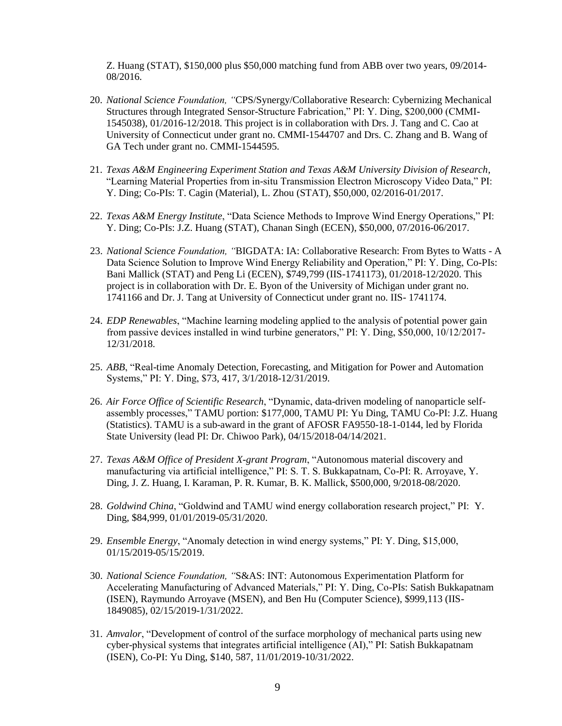Z. Huang (STAT), \$150,000 plus \$50,000 matching fund from ABB over two years, 09/2014- 08/2016.

- 20. *National Science Foundation, "*CPS/Synergy/Collaborative Research: Cybernizing Mechanical Structures through Integrated Sensor-Structure Fabrication," PI: Y. Ding, \$200,000 (CMMI-1545038), 01/2016-12/2018. This project is in collaboration with Drs. J. Tang and C. Cao at University of Connecticut under grant no. CMMI-1544707 and Drs. C. Zhang and B. Wang of GA Tech under grant no. CMMI-1544595.
- 21. *Texas A&M Engineering Experiment Station and Texas A&M University Division of Research*, "Learning Material Properties from in-situ Transmission Electron Microscopy Video Data," PI: Y. Ding; Co-PIs: T. Cagin (Material), L. Zhou (STAT), \$50,000, 02/2016-01/2017.
- 22. *Texas A&M Energy Institute*, "Data Science Methods to Improve Wind Energy Operations," PI: Y. Ding; Co-PIs: J.Z. Huang (STAT), Chanan Singh (ECEN), \$50,000, 07/2016-06/2017.
- 23. *National Science Foundation, "*BIGDATA: IA: Collaborative Research: From Bytes to Watts A Data Science Solution to Improve Wind Energy Reliability and Operation," PI: Y. Ding, Co-PIs: Bani Mallick (STAT) and Peng Li (ECEN), \$749,799 (IIS-1741173), 01/2018-12/2020. This project is in collaboration with Dr. E. Byon of the University of Michigan under grant no. 1741166 and Dr. J. Tang at University of Connecticut under grant no. IIS- 1741174.
- 24. *EDP Renewables*, "Machine learning modeling applied to the analysis of potential power gain from passive devices installed in wind turbine generators," PI: Y. Ding, \$50,000, 10/12/2017- 12/31/2018.
- 25. *ABB*, "Real-time Anomaly Detection, Forecasting, and Mitigation for Power and Automation Systems," PI: Y. Ding, \$73, 417, 3/1/2018-12/31/2019.
- 26. *Air Force Office of Scientific Research*, "Dynamic, data-driven modeling of nanoparticle selfassembly processes," TAMU portion: \$177,000, TAMU PI: Yu Ding, TAMU Co-PI: J.Z. Huang (Statistics). TAMU is a sub-award in the grant of AFOSR FA9550-18-1-0144, led by Florida State University (lead PI: Dr. Chiwoo Park), 04/15/2018-04/14/2021.
- 27. *Texas A&M Office of President X-grant Program*, "Autonomous material discovery and manufacturing via artificial intelligence," PI: S. T. S. Bukkapatnam, Co-PI: R. Arroyave, Y. Ding, J. Z. Huang, I. Karaman, P. R. Kumar, B. K. Mallick, \$500,000, 9/2018-08/2020.
- 28. *Goldwind China*, "Goldwind and TAMU wind energy collaboration research project," PI: Y. Ding, \$84,999, 01/01/2019-05/31/2020.
- 29. *Ensemble Energy*, "Anomaly detection in wind energy systems," PI: Y. Ding, \$15,000, 01/15/2019-05/15/2019.
- 30. *National Science Foundation, "*S&AS: INT: Autonomous Experimentation Platform for Accelerating Manufacturing of Advanced Materials," PI: Y. Ding, Co-PIs: Satish Bukkapatnam (ISEN), Raymundo Arroyave (MSEN), and Ben Hu (Computer Science), \$999,113 (IIS-1849085), 02/15/2019-1/31/2022.
- 31. *Amvalor*, "Development of control of the surface morphology of mechanical parts using new cyber-physical systems that integrates artificial intelligence (AI)," PI: Satish Bukkapatnam (ISEN), Co-PI: Yu Ding, \$140, 587, 11/01/2019-10/31/2022.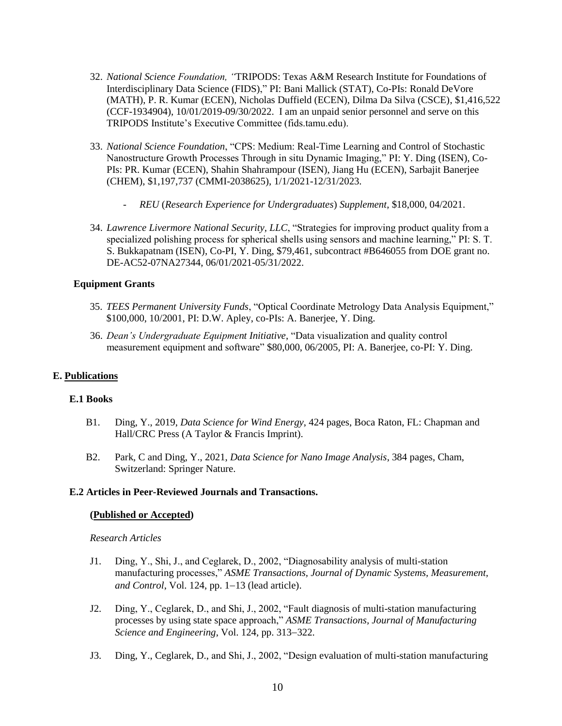- 32. *National Science Foundation, "*TRIPODS: Texas A&M Research Institute for Foundations of Interdisciplinary Data Science (FIDS)," PI: Bani Mallick (STAT), Co-PIs: Ronald DeVore (MATH), P. R. Kumar (ECEN), Nicholas Duffield (ECEN), Dilma Da Silva (CSCE), \$1,416,522 (CCF-1934904), 10/01/2019-09/30/2022. I am an unpaid senior personnel and serve on this TRIPODS Institute's Executive Committee (fids.tamu.edu).
- 33. *National Science Foundation*, "CPS: Medium: Real-Time Learning and Control of Stochastic Nanostructure Growth Processes Through in situ Dynamic Imaging," PI: Y. Ding (ISEN), Co-PIs: PR. Kumar (ECEN), Shahin Shahrampour (ISEN), Jiang Hu (ECEN), Sarbajit Banerjee (CHEM), \$1,197,737 (CMMI-2038625), 1/1/2021-12/31/2023.
	- *REU* (*Research Experience for Undergraduates*) *Supplement*, \$18,000, 04/2021.
- 34. *Lawrence Livermore National Security, LLC*, "Strategies for improving product quality from a specialized polishing process for spherical shells using sensors and machine learning," PI: S. T. S. Bukkapatnam (ISEN), Co-PI, Y. Ding, \$79,461, subcontract #B646055 from DOE grant no. DE-AC52-07NA27344, 06/01/2021-05/31/2022.

### **Equipment Grants**

- 35. *TEES Permanent University Funds*, "Optical Coordinate Metrology Data Analysis Equipment," \$100,000, 10/2001, PI: D.W. Apley, co-PIs: A. Banerjee, Y. Ding.
- 36. *Dean's Undergraduate Equipment Initiative*, "Data visualization and quality control measurement equipment and software" \$80,000, 06/2005, PI: A. Banerjee, co-PI: Y. Ding.

### **E. Publications**

#### **E.1 Books**

- B1. Ding, Y., 2019, *Data Science for Wind Energy*, 424 pages, Boca Raton, FL: Chapman and Hall/CRC Press (A Taylor & Francis Imprint).
- B2. Park, C and Ding, Y., 2021, *Data Science for Nano Image Analysis*, 384 pages, Cham, Switzerland: Springer Nature.

#### **E.2 Articles in Peer-Reviewed Journals and Transactions.**

#### **(Published or Accepted)**

#### *Research Articles*

- J1. Ding, Y., Shi, J., and Ceglarek, D., 2002, "Diagnosability analysis of multi-station manufacturing processes," *ASME Transactions, Journal of Dynamic Systems, Measurement, and Control*, Vol. 124, pp. 1−13 (lead article).
- J2. Ding, Y., Ceglarek, D., and Shi, J., 2002, "Fault diagnosis of multi-station manufacturing processes by using state space approach," *ASME Transactions, Journal of Manufacturing Science and Engineering*, Vol. 124, pp. 313−322.
- J3. Ding, Y., Ceglarek, D., and Shi, J., 2002, "Design evaluation of multi-station manufacturing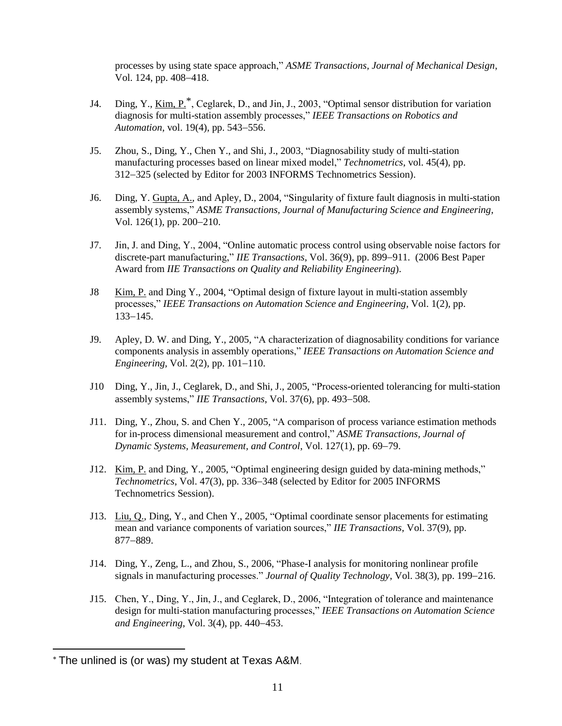processes by using state space approach," *ASME Transactions, Journal of Mechanical Design*, Vol. 124, pp. 408−418.

- J4. Ding, Y., Kim, P.\*, Ceglarek, D., and Jin, J., 2003, "Optimal sensor distribution for variation diagnosis for multi-station assembly processes," *IEEE Transactions on Robotics and Automation*, vol. 19(4), pp. 543−556.
- J5. Zhou, S., Ding, Y., Chen Y., and Shi, J., 2003, "Diagnosability study of multi-station manufacturing processes based on linear mixed model," *Technometrics*, vol. 45(4), pp. 312−325 (selected by Editor for 2003 INFORMS Technometrics Session).
- J6. Ding, Y. Gupta, A., and Apley, D., 2004, "Singularity of fixture fault diagnosis in multi-station assembly systems," *ASME Transactions, Journal of Manufacturing Science and Engineering*, Vol. 126(1), pp. 200−210.
- J7. Jin, J. and Ding, Y., 2004, "Online automatic process control using observable noise factors for discrete-part manufacturing," *IIE Transactions*, Vol. 36(9), pp. 899−911. (2006 Best Paper Award from *IIE Transactions on Quality and Reliability Engineering*).
- J8 Kim, P. and Ding Y., 2004, "Optimal design of fixture layout in multi-station assembly processes," *IEEE Transactions on Automation Science and Engineering*, Vol. 1(2), pp. 133−145.
- J9. Apley, D. W. and Ding, Y., 2005, "A characterization of diagnosability conditions for variance components analysis in assembly operations," *IEEE Transactions on Automation Science and Engineering*, Vol. 2(2), pp. 101−110.
- J10 Ding, Y., Jin, J., Ceglarek, D., and Shi, J., 2005, "Process-oriented tolerancing for multi-station assembly systems," *IIE Transactions*, Vol. 37(6), pp. 493−508.
- J11. Ding, Y., Zhou, S. and Chen Y., 2005, "A comparison of process variance estimation methods for in-process dimensional measurement and control," *ASME Transactions, Journal of Dynamic Systems, Measurement, and Control*, Vol. 127(1), pp. 69−79.
- J12. Kim, P. and Ding, Y., 2005, "Optimal engineering design guided by data-mining methods," *Technometrics*, Vol. 47(3), pp. 336−348 (selected by Editor for 2005 INFORMS Technometrics Session).
- J13. Liu, Q., Ding, Y., and Chen Y., 2005, "Optimal coordinate sensor placements for estimating mean and variance components of variation sources," *IIE Transactions*, Vol. 37(9), pp. 877−889.
- J14. Ding, Y., Zeng, L., and Zhou, S., 2006, "Phase-I analysis for monitoring nonlinear profile signals in manufacturing processes." *Journal of Quality Technology*, Vol. 38(3), pp. 199−216.
- J15. Chen, Y., Ding, Y., Jin, J., and Ceglarek, D., 2006, "Integration of tolerance and maintenance design for multi-station manufacturing processes," *IEEE Transactions on Automation Science and Engineering*, Vol. 3(4), pp. 440−453.

 $\overline{a}$ 

*T* \**<sup>T</sup>* The unlined is (or was) my student at Texas A&M.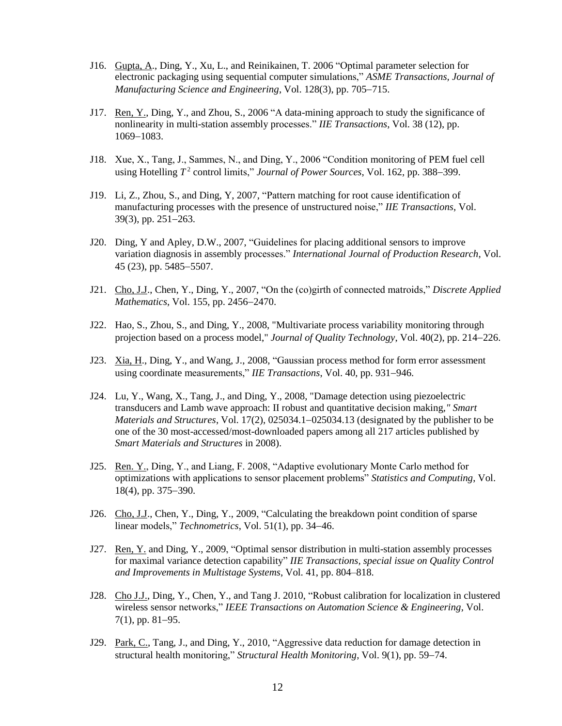- J16. Gupta, A., Ding, Y., Xu, L., and Reinikainen, T. 2006 "Optimal parameter selection for electronic packaging using sequential computer simulations," *ASME Transactions, Journal of Manufacturing Science and Engineering*, Vol. 128(3), pp. 705−715.
- J17. Ren, Y., Ding, Y., and Zhou, S., 2006 "A data-mining approach to study the significance of nonlinearity in multi-station assembly processes." *IIE Transactions*, Vol. 38 (12), pp. 1069−1083.
- J18. Xue, X., Tang, J., Sammes, N., and Ding, Y., 2006 "Condition monitoring of PEM fuel cell using Hotelling *T* 2 control limits," *Journal of Power Sources*, Vol. 162, pp. 388−399.
- J19. Li, Z., Zhou, S., and Ding, Y, 2007, "Pattern matching for root cause identification of manufacturing processes with the presence of unstructured noise," *IIE Transactions*, Vol. 39(3), pp. 251−263.
- J20. Ding, Y and Apley, D.W., 2007, "Guidelines for placing additional sensors to improve variation diagnosis in assembly processes." *International Journal of Production Research*, Vol. 45 (23), pp. 5485−5507.
- J21. Cho, J.J., Chen, Y., Ding, Y., 2007, "On the (co)girth of connected matroids," *Discrete Applied Mathematics*, Vol. 155, pp. 2456−2470.
- J22. Hao, S., Zhou, S., and Ding, Y., 2008, "Multivariate process variability monitoring through projection based on a process model," *Journal of Quality Technology*, Vol. 40(2), pp. 214−226.
- J23. Xia, H., Ding, Y., and Wang, J., 2008, "Gaussian process method for form error assessment using coordinate measurements," *IIE Transactions*, Vol. 40, pp. 931−946.
- J24. Lu, Y., Wang, X., Tang, J., and Ding, Y., 2008, "Damage detection using piezoelectric transducers and Lamb wave approach: II robust and quantitative decision making,*" Smart Materials and Structures*, Vol. 17(2), 025034.1−025034.13 (designated by the publisher to be one of the 30 most-accessed/most-downloaded papers among all 217 articles published by *Smart Materials and Structures* in 2008).
- J25. Ren. Y., Ding, Y., and Liang, F. 2008, "Adaptive evolutionary Monte Carlo method for optimizations with applications to sensor placement problems" *Statistics and Computing*, Vol. 18(4), pp. 375−390.
- J26. Cho, J.J., Chen, Y., Ding, Y., 2009, "Calculating the breakdown point condition of sparse linear models," *Technometrics*, Vol. 51(1), pp. 34−46.
- J27. Ren, Y. and Ding, Y., 2009, "Optimal sensor distribution in multi-station assembly processes for maximal variance detection capability" *IIE Transactions, special issue on Quality Control and Improvements in Multistage Systems*, Vol. 41, pp. 804–818.
- J28. Cho J.J., Ding, Y., Chen, Y., and Tang J. 2010, "Robust calibration for localization in clustered wireless sensor networks," *IEEE Transactions on Automation Science & Engineering*, Vol. 7(1), pp. 81−95.
- J29. Park, C., Tang, J., and Ding, Y., 2010, "Aggressive data reduction for damage detection in structural health monitoring," *Structural Health Monitoring*, Vol. 9(1), pp. 59−74.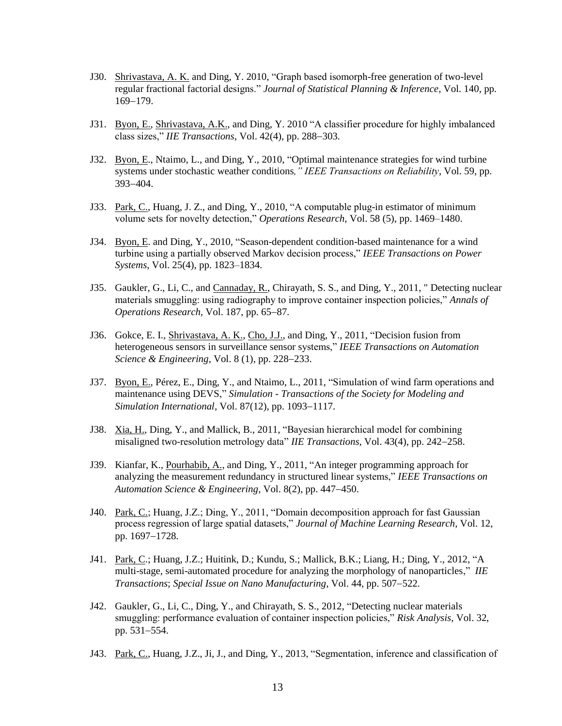- J30. Shrivastava, A. K. and Ding, Y. 2010, "Graph based isomorph-free generation of two-level regular fractional factorial designs." *Journal of Statistical Planning & Inference*, Vol. 140, pp. 169−179.
- J31. Byon, E., Shrivastava, A.K., and Ding, Y. 2010 "A classifier procedure for highly imbalanced class sizes," *IIE Transactions*, Vol. 42(4), pp. 288−303.
- J32. Byon, E., Ntaimo, L., and Ding, Y., 2010, "Optimal maintenance strategies for wind turbine systems under stochastic weather conditions*," IEEE Transactions on Reliability*, Vol. 59, pp. 393−404.
- J33. Park, C., Huang, J. Z., and Ding, Y., 2010, "A computable plug-in estimator of minimum volume sets for novelty detection," *Operations Research*, Vol. 58 (5), pp. 1469–1480.
- J34. Byon, E. and Ding, Y., 2010, "Season-dependent condition-based maintenance for a wind turbine using a partially observed Markov decision process," *IEEE Transactions on Power Systems*, Vol. 25(4), pp. 1823–1834.
- J35. Gaukler, G., Li, C., and Cannaday, R., Chirayath, S. S., and Ding, Y., 2011, " Detecting nuclear materials smuggling: using radiography to improve container inspection policies," *Annals of Operations Research*, Vol. 187, pp. 65−87.
- J36. Gokce, E. I., Shrivastava, A. K., Cho, J.J., and Ding, Y., 2011, "Decision fusion from heterogeneous sensors in surveillance sensor systems," *IEEE Transactions on Automation Science & Engineering*, Vol. 8 (1), pp. 228−233.
- J37. Byon, E., Pérez, E., Ding, Y., and Ntaimo, L., 2011, "Simulation of wind farm operations and maintenance using DEVS," *Simulation - Transactions of the Society for Modeling and Simulation International*, Vol. 87(12), pp. 1093−1117.
- J38. Xia, H., Ding, Y., and Mallick, B., 2011, "Bayesian hierarchical model for combining misaligned two-resolution metrology data" *IIE Transactions*, Vol. 43(4), pp. 242−258.
- J39. Kianfar, K., Pourhabib, A., and Ding, Y., 2011, "An integer programming approach for analyzing the measurement redundancy in structured linear systems," *IEEE Transactions on Automation Science & Engineering*, Vol. 8(2), pp. 447−450.
- J40. Park, C.; Huang, J.Z.; Ding, Y., 2011, "Domain decomposition approach for fast Gaussian process regression of large spatial datasets," *Journal of Machine Learning Research*, Vol. 12, pp. 1697−1728.
- J41. Park, C.; Huang, J.Z.; Huitink, D.; Kundu, S.; Mallick, B.K.; Liang, H.; Ding, Y., 2012, "A multi-stage, semi-automated procedure for analyzing the morphology of nanoparticles," *IIE Transactions*; *Special Issue on Nano Manufacturing*, Vol. 44, pp. 507−522.
- J42. Gaukler, G., Li, C., Ding, Y., and Chirayath, S. S., 2012, "Detecting nuclear materials smuggling: performance evaluation of container inspection policies," *Risk Analysis*, Vol. 32, pp. 531−554.
- J43. Park, C., Huang, J.Z., Ji, J., and Ding, Y., 2013, "Segmentation, inference and classification of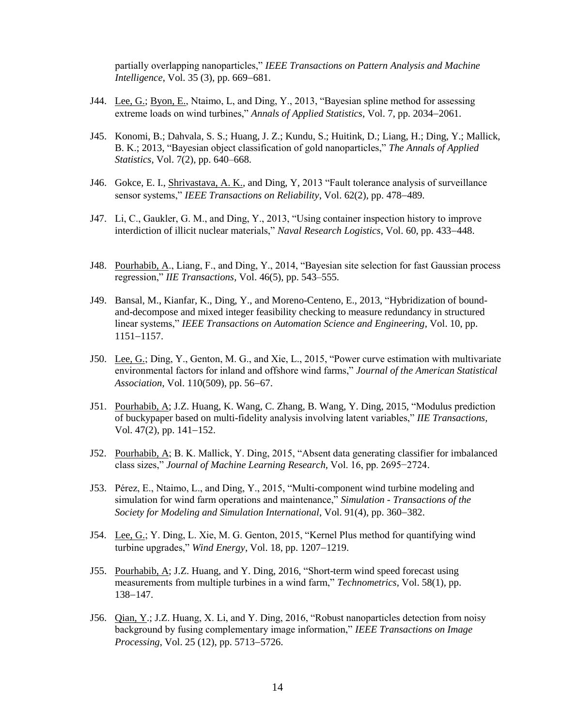partially overlapping nanoparticles," *IEEE Transactions on Pattern Analysis and Machine Intelligence*, Vol. 35 (3), pp. 669–681.

- J44. Lee, G.; Byon, E., Ntaimo, L, and Ding, Y., 2013, "Bayesian spline method for assessing extreme loads on wind turbines," *Annals of Applied Statistics*, Vol. 7, pp. 2034−2061.
- J45. Konomi, B.; Dahvala, S. S.; Huang, J. Z.; Kundu, S.; Huitink, D.; Liang, H.; Ding, Y.; Mallick, B. K.; 2013, "Bayesian object classification of gold nanoparticles," *The Annals of Applied Statistics*, Vol. 7(2), pp. 640–668.
- J46. Gokce, E. I., Shrivastava, A. K., and Ding, Y, 2013 "Fault tolerance analysis of surveillance sensor systems," *IEEE Transactions on Reliability*, Vol. 62(2), pp. 478−489.
- J47. Li, C., Gaukler, G. M., and Ding, Y., 2013, "Using container inspection history to improve interdiction of illicit nuclear materials," *Naval Research Logistics*, Vol. 60, pp. 433−448.
- J48. Pourhabib, A., Liang, F., and Ding, Y., 2014, "Bayesian site selection for fast Gaussian process regression," *IIE Transactions*, Vol. 46(5), pp. 543–555.
- J49. Bansal, M., Kianfar, K., Ding, Y., and Moreno-Centeno, E., 2013, "Hybridization of boundand-decompose and mixed integer feasibility checking to measure redundancy in structured linear systems," *IEEE Transactions on Automation Science and Engineering*, Vol. 10, pp. 1151−1157.
- J50. Lee, G.; Ding, Y., Genton, M. G., and Xie, L., 2015, "Power curve estimation with multivariate environmental factors for inland and offshore wind farms," *Journal of the American Statistical Association*, Vol. 110(509), pp. 56−67.
- J51. Pourhabib, A; J.Z. Huang, K. Wang, C. Zhang, B. Wang, Y. Ding, 2015, "Modulus prediction of buckypaper based on multi-fidelity analysis involving latent variables," *IIE Transactions,* Vol. 47(2), pp. 141−152.
- J52. Pourhabib, A; B. K. Mallick, Y. Ding, 2015, "Absent data generating classifier for imbalanced class sizes," *Journal of Machine Learning Research,* Vol. 16, pp. 2695−2724.
- J53. Pérez, E., Ntaimo, L., and Ding, Y., 2015, "Multi-component wind turbine modeling and simulation for wind farm operations and maintenance," *Simulation - Transactions of the Society for Modeling and Simulation International*, Vol. 91(4), pp. 360−382.
- J54. Lee, G.; Y. Ding, L. Xie, M. G. Genton, 2015, "Kernel Plus method for quantifying wind turbine upgrades," *Wind Energy*, Vol. 18, pp. 1207−1219.
- J55. Pourhabib, A; J.Z. Huang, and Y. Ding, 2016, "Short-term wind speed forecast using measurements from multiple turbines in a wind farm," *Technometrics,* Vol. 58(1), pp. 138−147.
- J56. Qian, Y.; J.Z. Huang, X. Li, and Y. Ding, 2016, "Robust nanoparticles detection from noisy background by fusing complementary image information," *IEEE Transactions on Image Processing*, Vol. 25 (12), pp. 5713−5726.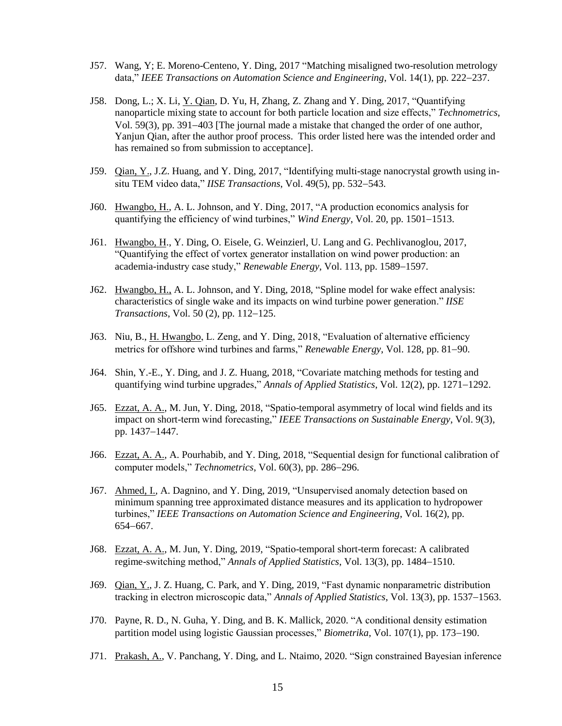- J57. Wang, Y; E. Moreno-Centeno, Y. Ding, 2017 "Matching misaligned two-resolution metrology data," *IEEE Transactions on Automation Science and Engineering*, Vol. 14(1), pp. 222−237.
- J58. Dong, L.; X. Li, Y. Qian, D. Yu, H, Zhang, Z. Zhang and Y. Ding, 2017, "Quantifying nanoparticle mixing state to account for both particle location and size effects," *Technometrics*, Vol. 59(3), pp. 391−403 [The journal made a mistake that changed the order of one author, Yanjun Qian, after the author proof process. This order listed here was the intended order and has remained so from submission to acceptance].
- J59. Qian, Y., J.Z. Huang, and Y. Ding, 2017, "Identifying multi-stage nanocrystal growth using insitu TEM video data," *IISE Transactions*, Vol. 49(5), pp. 532−543.
- J60. Hwangbo, H., A. L. Johnson, and Y. Ding, 2017, "A production economics analysis for quantifying the efficiency of wind turbines," *Wind Energy*, Vol. 20, pp. 1501−1513.
- J61. Hwangbo, H., Y. Ding, O. Eisele, G. Weinzierl, U. Lang and G. Pechlivanoglou, 2017, "Quantifying the effect of vortex generator installation on wind power production: an academia-industry case study," *Renewable Energy*, Vol. 113, pp. 1589−1597.
- J62. Hwangbo, H., A. L. Johnson, and Y. Ding, 2018, "Spline model for wake effect analysis: characteristics of single wake and its impacts on wind turbine power generation." *IISE Transactions*, Vol. 50 (2), pp. 112−125.
- J63. Niu, B., H. Hwangbo, L. Zeng, and Y. Ding, 2018, "Evaluation of alternative efficiency metrics for offshore wind turbines and farms," *Renewable Energy*, Vol. 128, pp. 81−90.
- J64. Shin, Y.-E., Y. Ding, and J. Z. Huang, 2018, "Covariate matching methods for testing and quantifying wind turbine upgrades," *Annals of Applied Statistics*, Vol. 12(2), pp. 1271−1292.
- J65. Ezzat, A. A., M. Jun, Y. Ding, 2018, "Spatio-temporal asymmetry of local wind fields and its impact on short-term wind forecasting," *IEEE Transactions on Sustainable Energy*, Vol. 9(3), pp. 1437−1447.
- J66. Ezzat, A. A., A. Pourhabib, and Y. Ding, 2018, "Sequential design for functional calibration of computer models," *Technometrics*, Vol. 60(3), pp. 286−296.
- J67. Ahmed, I., A. Dagnino, and Y. Ding, 2019, "Unsupervised anomaly detection based on minimum spanning tree approximated distance measures and its application to hydropower turbines," *IEEE Transactions on Automation Science and Engineering*, Vol. 16(2), pp. 654−667.
- J68. Ezzat, A. A., M. Jun, Y. Ding, 2019, "Spatio-temporal short-term forecast: A calibrated regime-switching method," *Annals of Applied Statistics*, Vol. 13(3), pp. 1484−1510.
- J69. Qian, Y., J. Z. Huang, C. Park, and Y. Ding, 2019, "Fast dynamic nonparametric distribution tracking in electron microscopic data," *Annals of Applied Statistics*, Vol. 13(3), pp. 1537−1563.
- J70. Payne, R. D., N. Guha, Y. Ding, and B. K. Mallick, 2020. "A conditional density estimation partition model using logistic Gaussian processes," *Biometrika*, Vol. 107(1), pp. 173−190.
- J71. Prakash, A., V. Panchang, Y. Ding, and L. Ntaimo, 2020. "Sign constrained Bayesian inference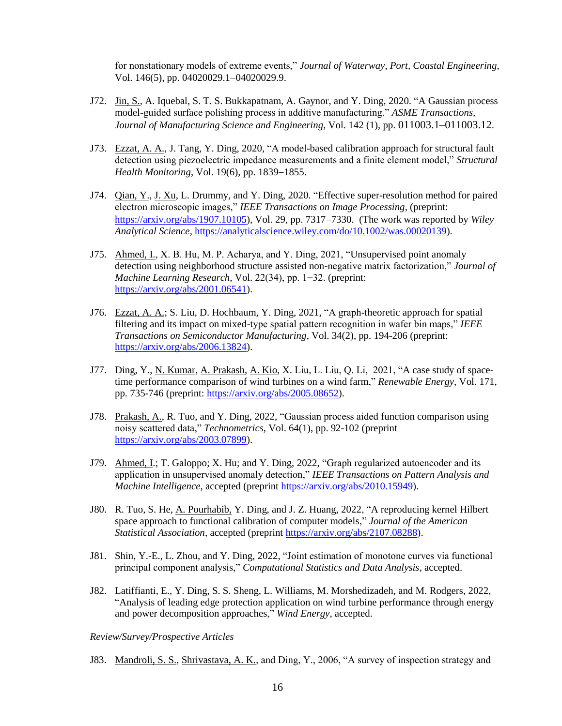for nonstationary models of extreme events," *Journal of Waterway, Port, Coastal Engineering*, Vol. 146(5), pp. 04020029.1−04020029.9.

- J72. Jin, S., A. Iquebal, S. T. S. Bukkapatnam, A. Gaynor, and Y. Ding, 2020. "A Gaussian process model-guided surface polishing process in additive manufacturing." *ASME Transactions, Journal of Manufacturing Science and Engineering*, Vol. 142 (1), pp. 011003.1–011003.12.
- J73. Ezzat, A. A., J. Tang, Y. Ding, 2020, "A model-based calibration approach for structural fault detection using piezoelectric impedance measurements and a finite element model," *Structural Health Monitoring*, Vol. 19(6), pp. 1839−1855.
- J74. Qian, Y., J. Xu, L. Drummy, and Y. Ding, 2020. "Effective super-resolution method for paired electron microscopic images," *IEEE Transactions on Image Processing*, (preprint: [https://arxiv.org/abs/1907.10105\)](https://arxiv.org/abs/1907.10105), Vol. 29, pp. 7317−7330. (The work was reported by *Wiley Analytical Science*, [https://analyticalscience.wiley.com/do/10.1002/was.00020139\)](https://analyticalscience.wiley.com/do/10.1002/was.00020139).
- J75. Ahmed, I., X. B. Hu, M. P. Acharya, and Y. Ding, 2021, "Unsupervised point anomaly detection using neighborhood structure assisted non-negative matrix factorization," *Journal of Machine Learning Research*, Vol. 22(34), pp. 1−32. (preprint: [https://arxiv.org/abs/2001.06541\)](https://arxiv.org/abs/2001.06541).
- J76. Ezzat, A. A.; S. Liu, D. Hochbaum, Y. Ding, 2021, "A graph-theoretic approach for spatial filtering and its impact on mixed-type spatial pattern recognition in wafer bin maps," *IEEE Transactions on Semiconductor Manufacturing*, Vol. 34(2), pp. 194-206 (preprint: [https://arxiv.org/abs/2006.13824\)](https://arxiv.org/abs/2006.13824).
- J77. Ding, Y., N. Kumar, A. Prakash, A. Kio, X. Liu, L. Liu, Q. Li, 2021, "A case study of spacetime performance comparison of wind turbines on a wind farm," *Renewable Energy*, Vol. 171, pp. 735-746 (preprint: [https://arxiv.org/abs/2005.08652\)](https://urldefense.com/v3/__https:/arxiv.org/abs/2005.08652__;!!KwNVnqRv!UmMcAeDkxQE3TbGQI209M8kxrAMKV99xQ-qAoGfrqals5IEkSZhvqt77ulQHVzI$).
- J78. Prakash, A., R. Tuo, and Y. Ding, 2022, "Gaussian process aided function comparison using noisy scattered data," *Technometrics*, Vol. 64(1), pp. 92-102 (preprint [https://arxiv.org/abs/2003.07899\)](https://arxiv.org/abs/2003.07899).
- J79. Ahmed, I.; T. Galoppo; X. Hu; and Y. Ding, 2022, "Graph regularized autoencoder and its application in unsupervised anomaly detection," *IEEE Transactions on Pattern Analysis and Machine Intelligence*, accepted (preprint [https://arxiv.org/abs/2010.15949\)](https://arxiv.org/abs/2010.15949).
- J80. R. Tuo, S. He, A. Pourhabib, Y. Ding, and J. Z. Huang, 2022, "A reproducing kernel Hilbert space approach to functional calibration of computer models," *Journal of the American Statistical Association*, accepted (preprint [https://arxiv.org/abs/2107.08288\)](https://arxiv.org/abs/2107.08288).
- J81. Shin, Y.-E., L. Zhou, and Y. Ding, 2022, "Joint estimation of monotone curves via functional principal component analysis," *Computational Statistics and Data Analysis*, accepted.
- J82. Latiffianti, E., Y. Ding, S. S. Sheng, L. Williams, M. Morshedizadeh, and M. Rodgers, 2022, "Analysis of leading edge protection application on wind turbine performance through energy and power decomposition approaches," *Wind Energy*, accepted.

*Review/Survey/Prospective Articles*

J83. Mandroli, S. S., Shrivastava, A. K., and Ding, Y., 2006, "A survey of inspection strategy and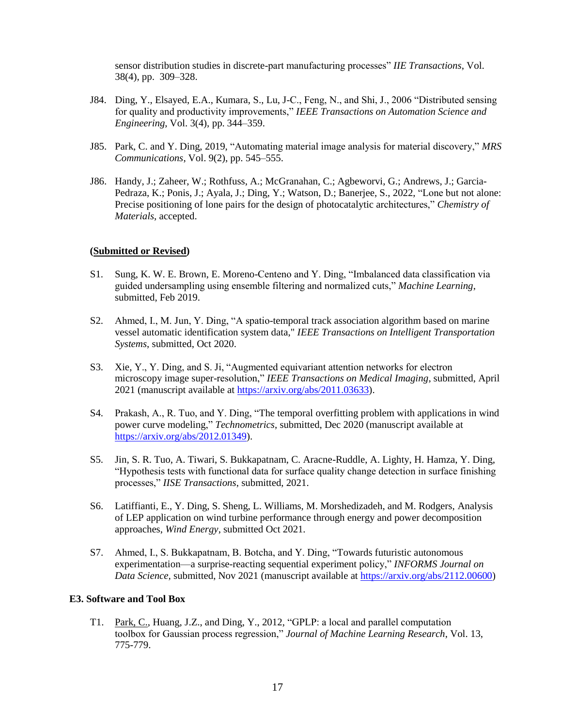sensor distribution studies in discrete-part manufacturing processes" *IIE Transactions*, Vol. 38(4), pp. 309–328.

- J84. Ding, Y., Elsayed, E.A., Kumara, S., Lu, J-C., Feng, N., and Shi, J., 2006 "Distributed sensing for quality and productivity improvements," *IEEE Transactions on Automation Science and Engineering*, Vol. 3(4), pp. 344–359.
- J85. Park, C. and Y. Ding, 2019, "Automating material image analysis for material discovery," *MRS Communications*, Vol. 9(2), pp. 545–555.
- J86. Handy, J.; Zaheer, W.; Rothfuss, A.; McGranahan, C.; Agbeworvi, G.; Andrews, J.; Garcia-Pedraza, K.; Ponis, J.; Ayala, J.; Ding, Y.; Watson, D.; Banerjee, S., 2022, "Lone but not alone: Precise positioning of lone pairs for the design of photocatalytic architectures," *Chemistry of Materials*, accepted.

### **(Submitted or Revised)**

- S1. Sung, K. W. E. Brown, E. Moreno-Centeno and Y. Ding, "Imbalanced data classification via guided undersampling using ensemble filtering and normalized cuts," *Machine Learning*, submitted, Feb 2019.
- S2. Ahmed, I., M. Jun, Y. Ding, "A spatio-temporal track association algorithm based on marine vessel automatic identification system data," *IEEE Transactions on Intelligent Transportation Systems*, submitted, Oct 2020.
- S3. Xie, Y., Y. Ding, and S. Ji, "Augmented equivariant attention networks for electron microscopy image super-resolution," *IEEE Transactions on Medical Imaging*, submitted, April 2021 (manuscript available at [https://arxiv.org/abs/2011.03633\)](https://arxiv.org/abs/2011.03633).
- S4. Prakash, A., R. Tuo, and Y. Ding, "The temporal overfitting problem with applications in wind power curve modeling," *Technometrics*, submitted, Dec 2020 (manuscript available at [https://arxiv.org/abs/2012.01349\)](https://urldefense.com/v3/__https:/arxiv.org/abs/2012.01349__;!!KwNVnqRv!TTLLSRPdO0RgWVWl2mlUtxy1xr48jNFqyVvYq8boPzj0onfFCRRDBvX9Rrof4jM$).
- S5. Jin, S. R. Tuo, A. Tiwari, S. Bukkapatnam, C. Aracne-Ruddle, A. Lighty, H. Hamza, Y. Ding, "Hypothesis tests with functional data for surface quality change detection in surface finishing processes," *IISE Transactions*, submitted, 2021.
- S6. Latiffianti, E., Y. Ding, S. Sheng, L. Williams, M. Morshedizadeh, and M. Rodgers, Analysis of LEP application on wind turbine performance through energy and power decomposition approaches, *Wind Energy*, submitted Oct 2021.
- S7. Ahmed, I., S. Bukkapatnam, B. Botcha, and Y. Ding, "Towards futuristic autonomous experimentation—a surprise-reacting sequential experiment policy," *INFORMS Journal on Data Science,* submitted, Nov 2021 (manuscript available at [https://arxiv.org/abs/2112.00600\)](https://arxiv.org/abs/2112.00600)

#### **E3. Software and Tool Box**

T1. Park, C., Huang, J.Z., and Ding, Y., 2012, "GPLP: a local and parallel computation toolbox for Gaussian process regression," *Journal of Machine Learning Research*, Vol. 13, 775-779.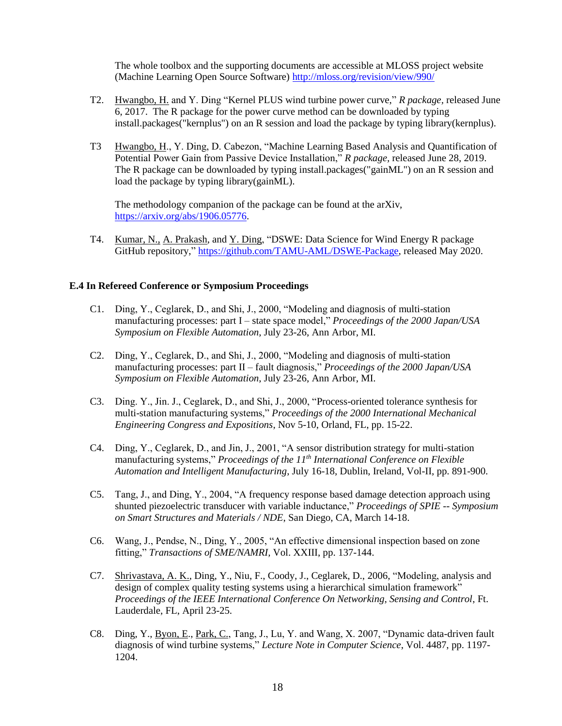The whole toolbox and the supporting documents are accessible at MLOSS project website (Machine Learning Open Source Software)<http://mloss.org/revision/view/990/>

- T2. Hwangbo, H. and Y. Ding "Kernel PLUS wind turbine power curve," *R package,* released June 6, 2017. The R package for the power curve method can be downloaded by typing install.packages("kernplus") on an R session and load the package by typing library(kernplus).
- T3 Hwangbo, H., Y. Ding, D. Cabezon, "Machine Learning Based Analysis and Quantification of Potential Power Gain from Passive Device Installation," *R package,* released June 28, 2019. The R package can be downloaded by typing install.packages("gainML") on an R session and load the package by typing library(gainML).

The methodology companion of the package can be found at the arXiv, [https://arxiv.org/abs/1906.05776.](https://arxiv.org/abs/1906.05776)

T4. Kumar, N., A. Prakash, and Y. Ding, "DSWE: Data Science for Wind Energy R package GitHub repository," [https://github.com/TAMU-AML/DSWE-Package,](https://github.com/TAMU-AML/DSWE-Package) released May 2020.

### **E.4 In Refereed Conference or Symposium Proceedings**

- C1. Ding, Y., Ceglarek, D., and Shi, J., 2000, "Modeling and diagnosis of multi-station manufacturing processes: part I – state space model," *Proceedings of the 2000 Japan/USA Symposium on Flexible Automation*, July 23-26, Ann Arbor, MI.
- C2. Ding, Y., Ceglarek, D., and Shi, J., 2000, "Modeling and diagnosis of multi-station manufacturing processes: part II – fault diagnosis," *Proceedings of the 2000 Japan/USA Symposium on Flexible Automation*, July 23-26, Ann Arbor, MI.
- C3. Ding. Y., Jin. J., Ceglarek, D., and Shi, J., 2000, "Process-oriented tolerance synthesis for multi-station manufacturing systems," *Proceedings of the 2000 International Mechanical Engineering Congress and Expositions*, Nov 5-10, Orland, FL, pp. 15-22.
- C4. Ding, Y., Ceglarek, D., and Jin, J., 2001, "A sensor distribution strategy for multi-station manufacturing systems," *Proceedings of the 11th International Conference on Flexible Automation and Intelligent Manufacturing*, July 16-18, Dublin, Ireland, Vol-II, pp. 891-900.
- C5. Tang, J., and Ding, Y., 2004, "A frequency response based damage detection approach using shunted piezoelectric transducer with variable inductance," *Proceedings of SPIE -- Symposium on Smart Structures and Materials / NDE*, San Diego, CA, March 14-18.
- C6. Wang, J., Pendse, N., Ding, Y., 2005, "An effective dimensional inspection based on zone fitting," *Transactions of SME/NAMRI,* Vol. XXIII, pp. 137-144.
- C7. Shrivastava, A. K., Ding, Y., Niu, F., Coody, J., Ceglarek, D., 2006, "Modeling, analysis and design of complex quality testing systems using a hierarchical simulation framework" *Proceedings of the IEEE International Conference On Networking, Sensing and Control*, Ft. Lauderdale, FL, April 23-25.
- C8. Ding, Y., Byon, E., Park, C., Tang, J., Lu, Y. and Wang, X. 2007, "Dynamic data-driven fault diagnosis of wind turbine systems," *Lecture Note in Computer Science*, Vol. 4487, pp. 1197- 1204.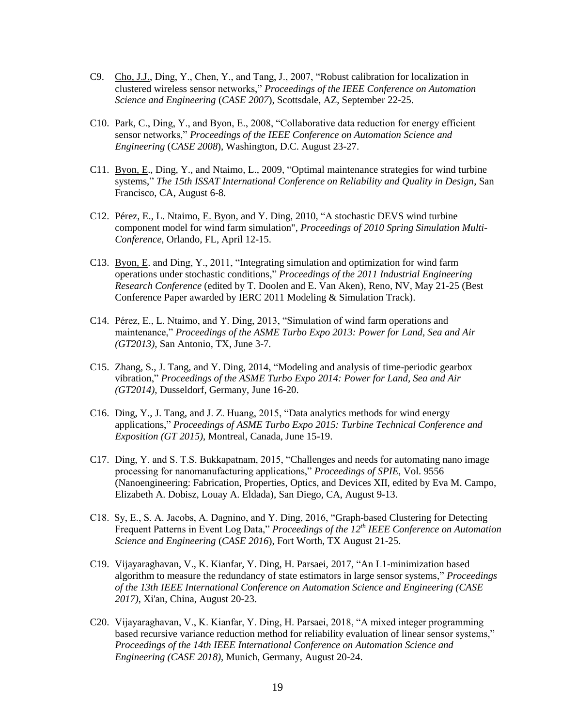- C9. Cho, J.J., Ding, Y., Chen, Y., and Tang, J., 2007, "Robust calibration for localization in clustered wireless sensor networks," *Proceedings of the IEEE Conference on Automation Science and Engineering* (*CASE 2007*), Scottsdale, AZ, September 22-25.
- C10. Park, C., Ding, Y., and Byon, E., 2008, "Collaborative data reduction for energy efficient sensor networks," *Proceedings of the IEEE Conference on Automation Science and Engineering* (*CASE 2008*), Washington, D.C. August 23-27.
- C11. Byon, E., Ding, Y., and Ntaimo, L., 2009, "Optimal maintenance strategies for wind turbine systems," *The 15th ISSAT International Conference on Reliability and Quality in Design*, San Francisco, CA, August 6-8.
- C12. Pérez, E., L. Ntaimo, E. Byon, and Y. Ding, 2010, "A stochastic DEVS wind turbine component model for wind farm simulation", *Proceedings of 2010 Spring Simulation Multi-Conference*, Orlando, FL, April 12-15.
- C13. Byon, E. and Ding, Y., 2011, "Integrating simulation and optimization for wind farm operations under stochastic conditions," *Proceedings of the 2011 Industrial Engineering Research Conference* (edited by T. Doolen and E. Van Aken), Reno, NV, May 21-25 (Best Conference Paper awarded by IERC 2011 Modeling & Simulation Track).
- C14. Pérez, E., L. Ntaimo, and Y. Ding, 2013, "Simulation of wind farm operations and maintenance," *Proceedings of the ASME Turbo Expo 2013: Power for Land, Sea and Air (GT2013)*, San Antonio, TX, June 3-7.
- C15. Zhang, S., J. Tang, and Y. Ding, 2014, "Modeling and analysis of time-periodic gearbox vibration," *Proceedings of the ASME Turbo Expo 2014: Power for Land, Sea and Air (GT2014)*, Dusseldorf, Germany, June 16-20.
- C16. Ding, Y., J. Tang, and J. Z. Huang, 2015, "Data analytics methods for wind energy applications," *Proceedings of ASME Turbo Expo 2015: Turbine Technical Conference and Exposition (GT 2015)*, Montreal, Canada, June 15-19.
- C17. Ding, Y. and S. T.S. Bukkapatnam, 2015, "Challenges and needs for automating nano image processing for nanomanufacturing applications," *Proceedings of SPIE*, Vol. 9556 (Nanoengineering: Fabrication, Properties, Optics, and Devices XII, edited by Eva M. Campo, Elizabeth A. Dobisz, Louay A. Eldada), San Diego, CA, August 9-13.
- C18. Sy, E., S. A. Jacobs, A. Dagnino, and Y. Ding, 2016, "Graph-based Clustering for Detecting Frequent Patterns in Event Log Data," *Proceedings of the 12th IEEE Conference on Automation Science and Engineering* (*CASE 2016*), Fort Worth, TX August 21-25.
- C19. Vijayaraghavan, V., K. Kianfar, Y. Ding, H. Parsaei, 2017, "An L1-minimization based algorithm to measure the redundancy of state estimators in large sensor systems," *Proceedings of the 13th IEEE International Conference on Automation Science and Engineering (CASE 2017)*, Xi'an, China, August 20-23.
- C20. Vijayaraghavan, V., K. Kianfar, Y. Ding, H. Parsaei, 2018, "A mixed integer programming based recursive variance reduction method for reliability evaluation of linear sensor systems," *Proceedings of the 14th IEEE International Conference on Automation Science and Engineering (CASE 2018)*, Munich, Germany, August 20-24.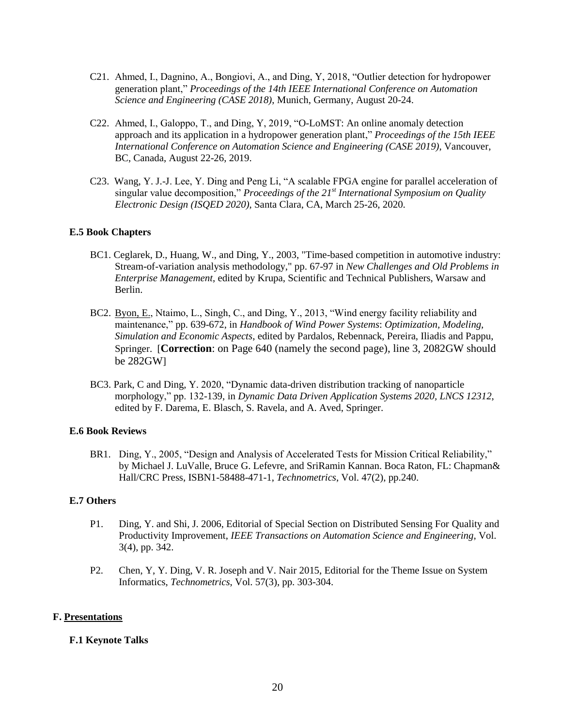- C21. Ahmed, I., Dagnino, A., Bongiovi, A., and Ding, Y, 2018, "Outlier detection for hydropower generation plant," *Proceedings of the 14th IEEE International Conference on Automation Science and Engineering (CASE 2018)*, Munich, Germany, August 20-24.
- C22. Ahmed, I., Galoppo, T., and Ding, Y, 2019, "O-LoMST: An online anomaly detection approach and its application in a hydropower generation plant," *Proceedings of the 15th IEEE International Conference on Automation Science and Engineering (CASE 2019)*, Vancouver, BC, Canada, August 22-26, 2019.
- C23. Wang, Y. J.-J. Lee, Y. Ding and Peng Li, "A scalable FPGA engine for parallel acceleration of singular value decomposition," *Proceedings of the 21st International Symposium on Quality Electronic Design (ISQED 2020)*, Santa Clara, CA, March 25-26, 2020.

## **E.5 Book Chapters**

- BC1. Ceglarek, D., Huang, W., and Ding, Y., 2003, "Time-based competition in automotive industry: Stream-of-variation analysis methodology," pp. 67-97 in *New Challenges and Old Problems in Enterprise Management*, edited by Krupa, Scientific and Technical Publishers, Warsaw and Berlin.
- BC2. Byon, E., Ntaimo, L., Singh, C., and Ding, Y., 2013, "Wind energy facility reliability and maintenance," pp. 639-672, in *Handbook of Wind Power Systems*: *Optimization, Modeling, Simulation and Economic Aspects*, edited by Pardalos, Rebennack, Pereira, Iliadis and Pappu, Springer. [**Correction**: on Page 640 (namely the second page), line 3, 2082GW should be 282GW]
- BC3. Park, C and Ding, Y. 2020, "Dynamic data-driven distribution tracking of nanoparticle morphology," pp. 132-139, in *Dynamic Data Driven Application Systems 2020, LNCS 12312*, edited by F. Darema, E. Blasch, S. Ravela, and A. Aved, Springer.

### **E.6 Book Reviews**

BR1. Ding, Y., 2005, "Design and Analysis of Accelerated Tests for Mission Critical Reliability," by Michael J. LuValle, Bruce G. Lefevre, and SriRamin Kannan. Boca Raton, FL: Chapman& Hall/CRC Press, ISBN1-58488-471-1, *Technometrics*, Vol. 47(2), pp.240.

### **E.7 Others**

- P1. Ding, Y. and Shi, J. 2006, Editorial of Special Section on Distributed Sensing For Quality and Productivity Improvement, *IEEE Transactions on Automation Science and Engineering*, Vol. 3(4), pp. 342.
- P2. Chen, Y, Y. Ding, V. R. Joseph and V. Nair 2015, Editorial for the Theme Issue on System Informatics, *Technometrics*, Vol. 57(3), pp. 303-304.

#### **F. Presentations**

#### **F.1 Keynote Talks**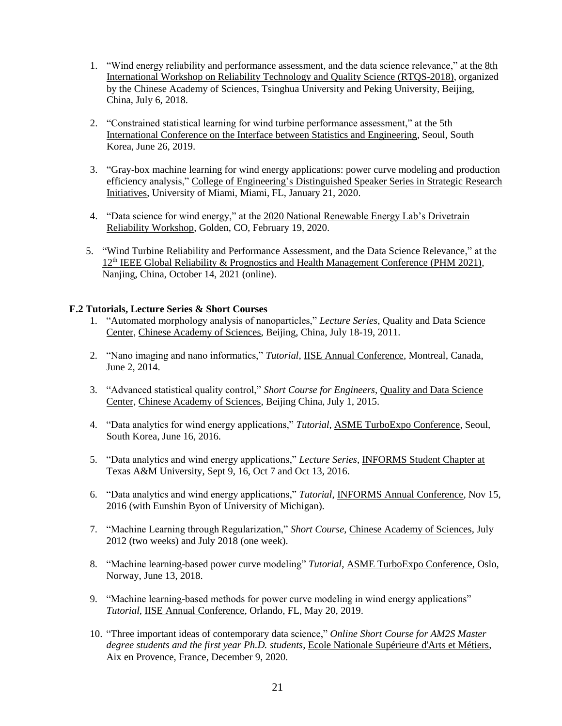- 1. "Wind energy reliability and performance assessment, and the data science relevance," at the 8th International Workshop on Reliability Technology and Quality Science (RTQS-2018), organized by the Chinese Academy of Sciences, Tsinghua University and Peking University, Beijing, China, July 6, 2018.
- 2. "Constrained statistical learning for wind turbine performance assessment," at the 5th International Conference on the Interface between Statistics and Engineering, Seoul, South Korea, June 26, 2019.
- 3. "Gray-box machine learning for wind energy applications: power curve modeling and production efficiency analysis," College of Engineering's Distinguished Speaker Series in Strategic Research Initiatives, University of Miami, Miami, FL, January 21, 2020.
- 4. "Data science for wind energy," at the 2020 National Renewable Energy Lab's Drivetrain Reliability Workshop, Golden, CO, February 19, 2020.
- 5. "Wind Turbine Reliability and Performance Assessment, and the Data Science Relevance," at the  $12<sup>th</sup> IEEE Global Reliability & Propostics and Health Management Conference (PHM 2021),$ Nanjing, China, October 14, 2021 (online).

### **F.2 Tutorials, Lecture Series & Short Courses**

- 1. "Automated morphology analysis of nanoparticles," *Lecture Series*, Quality and Data Science Center, Chinese Academy of Sciences, Beijing, China, July 18-19, 2011.
- 2. "Nano imaging and nano informatics," *Tutorial*, IISE Annual Conference, Montreal, Canada, June 2, 2014.
- 3. "Advanced statistical quality control," *Short Course for Engineers*, Quality and Data Science Center, Chinese Academy of Sciences, Beijing China, July 1, 2015.
- 4. "Data analytics for wind energy applications," *Tutorial*, ASME TurboExpo Conference, Seoul, South Korea, June 16, 2016.
- 5. "Data analytics and wind energy applications," *Lecture Series*, INFORMS Student Chapter at Texas A&M University, Sept 9, 16, Oct 7 and Oct 13, 2016.
- 6. "Data analytics and wind energy applications," *Tutorial*, INFORMS Annual Conference, Nov 15, 2016 (with Eunshin Byon of University of Michigan).
- 7. "Machine Learning through Regularization," *Short Course*, Chinese Academy of Sciences, July 2012 (two weeks) and July 2018 (one week).
- 8. "Machine learning-based power curve modeling" *Tutorial*, ASME TurboExpo Conference, Oslo, Norway, June 13, 2018.
- 9. "Machine learning-based methods for power curve modeling in wind energy applications" *Tutorial*, IISE Annual Conference, Orlando, FL, May 20, 2019.
- 10. "Three important ideas of contemporary data science," *Online Short Course for AM2S Master degree students and the first year Ph.D. students*, Ecole Nationale Supérieure d'Arts et Métiers, Aix en Provence, France, December 9, 2020.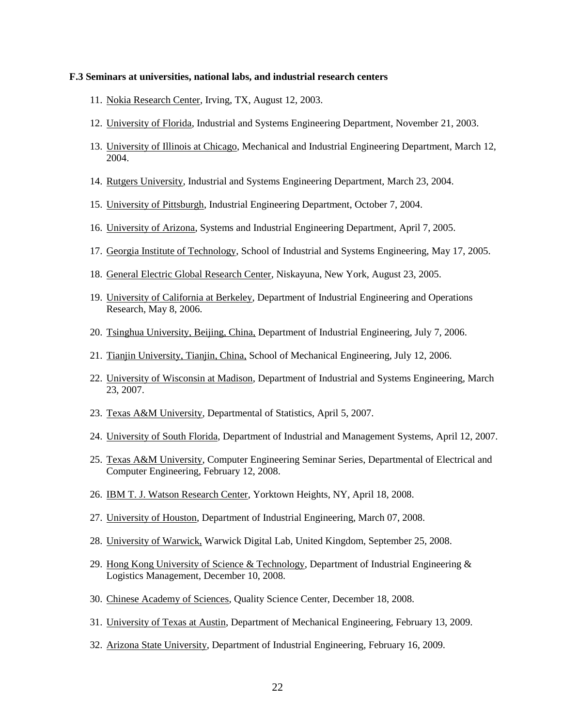#### **F.3 Seminars at universities, national labs, and industrial research centers**

- 11. Nokia Research Center, Irving, TX, August 12, 2003.
- 12. University of Florida, Industrial and Systems Engineering Department, November 21, 2003.
- 13. University of Illinois at Chicago, Mechanical and Industrial Engineering Department, March 12, 2004.
- 14. Rutgers University, Industrial and Systems Engineering Department, March 23, 2004.
- 15. University of Pittsburgh, Industrial Engineering Department, October 7, 2004.
- 16. University of Arizona, Systems and Industrial Engineering Department, April 7, 2005.
- 17. Georgia Institute of Technology, School of Industrial and Systems Engineering, May 17, 2005.
- 18. General Electric Global Research Center, Niskayuna, New York, August 23, 2005.
- 19. University of California at Berkeley, Department of Industrial Engineering and Operations Research, May 8, 2006.
- 20. Tsinghua University, Beijing, China, Department of Industrial Engineering, July 7, 2006.
- 21. Tianjin University, Tianjin, China, School of Mechanical Engineering, July 12, 2006.
- 22. University of Wisconsin at Madison, Department of Industrial and Systems Engineering, March 23, 2007.
- 23. Texas A&M University, Departmental of Statistics, April 5, 2007.
- 24. University of South Florida, Department of Industrial and Management Systems, April 12, 2007.
- 25. Texas A&M University, Computer Engineering Seminar Series, Departmental of Electrical and Computer Engineering, February 12, 2008.
- 26. IBM T. J. Watson Research Center, Yorktown Heights, NY, April 18, 2008.
- 27. University of Houston, Department of Industrial Engineering, March 07, 2008.
- 28. University of Warwick, Warwick Digital Lab, United Kingdom, September 25, 2008.
- 29. Hong Kong University of Science & Technology, Department of Industrial Engineering & Logistics Management, December 10, 2008.
- 30. Chinese Academy of Sciences, Quality Science Center, December 18, 2008.
- 31. University of Texas at Austin, Department of Mechanical Engineering, February 13, 2009.
- 32. Arizona State University, Department of Industrial Engineering, February 16, 2009.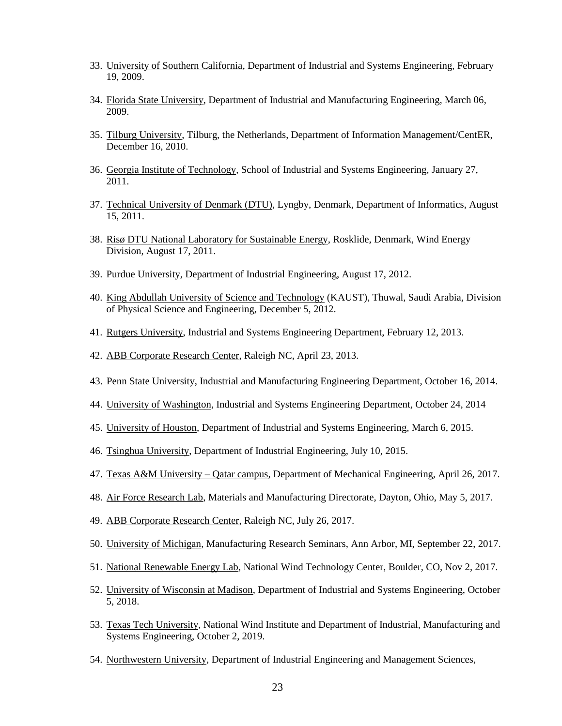- 33. University of Southern California, Department of Industrial and Systems Engineering, February 19, 2009.
- 34. Florida State University, Department of Industrial and Manufacturing Engineering, March 06, 2009.
- 35. Tilburg University, Tilburg, the Netherlands, Department of Information Management/CentER, December 16, 2010.
- 36. Georgia Institute of Technology, School of Industrial and Systems Engineering, January 27, 2011.
- 37. Technical University of Denmark (DTU), Lyngby, Denmark, Department of Informatics, August 15, 2011.
- 38. Risø DTU National Laboratory for Sustainable Energy, Rosklide, Denmark, Wind Energy Division, August 17, 2011.
- 39. Purdue University, Department of Industrial Engineering, August 17, 2012.
- 40. King Abdullah University of Science and Technology (KAUST), Thuwal, Saudi Arabia, Division of Physical Science and Engineering, December 5, 2012.
- 41. Rutgers University, Industrial and Systems Engineering Department, February 12, 2013.
- 42. ABB Corporate Research Center, Raleigh NC, April 23, 2013.
- 43. Penn State University, Industrial and Manufacturing Engineering Department, October 16, 2014.
- 44. University of Washington, Industrial and Systems Engineering Department, October 24, 2014
- 45. University of Houston, Department of Industrial and Systems Engineering, March 6, 2015.
- 46. Tsinghua University, Department of Industrial Engineering, July 10, 2015.
- 47. Texas A&M University Qatar campus, Department of Mechanical Engineering, April 26, 2017.
- 48. Air Force Research Lab, Materials and Manufacturing Directorate, Dayton, Ohio, May 5, 2017.
- 49. ABB Corporate Research Center, Raleigh NC, July 26, 2017.
- 50. University of Michigan, Manufacturing Research Seminars, Ann Arbor, MI, September 22, 2017.
- 51. National Renewable Energy Lab, National Wind Technology Center, Boulder, CO, Nov 2, 2017.
- 52. University of Wisconsin at Madison, Department of Industrial and Systems Engineering, October 5, 2018.
- 53. Texas Tech University, National Wind Institute and Department of Industrial, Manufacturing and Systems Engineering, October 2, 2019.
- 54. Northwestern University, Department of Industrial Engineering and Management Sciences,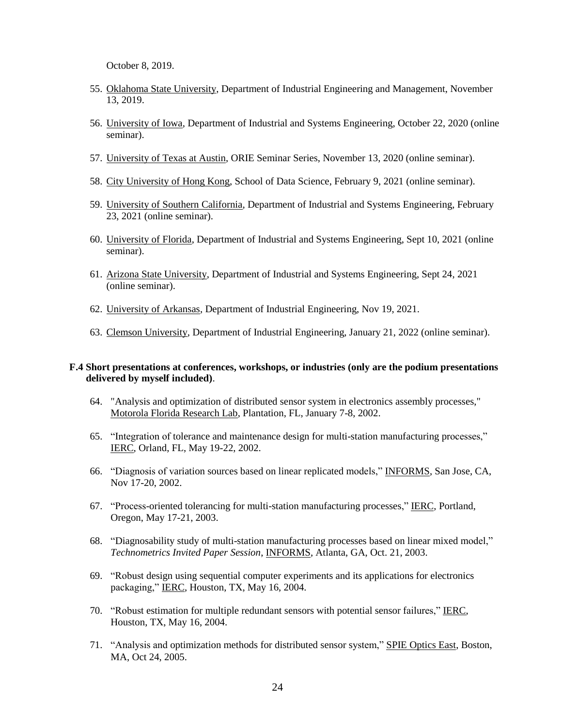October 8, 2019.

- 55. Oklahoma State University, Department of Industrial Engineering and Management, November 13, 2019.
- 56. University of Iowa, Department of Industrial and Systems Engineering, October 22, 2020 (online seminar).
- 57. University of Texas at Austin, ORIE Seminar Series, November 13, 2020 (online seminar).
- 58. City University of Hong Kong, School of Data Science, February 9, 2021 (online seminar).
- 59. University of Southern California, Department of Industrial and Systems Engineering, February 23, 2021 (online seminar).
- 60. University of Florida, Department of Industrial and Systems Engineering, Sept 10, 2021 (online seminar).
- 61. Arizona State University, Department of Industrial and Systems Engineering, Sept 24, 2021 (online seminar).
- 62. University of Arkansas, Department of Industrial Engineering, Nov 19, 2021.
- 63. Clemson University, Department of Industrial Engineering, January 21, 2022 (online seminar).

#### **F.4 Short presentations at conferences, workshops, or industries (only are the podium presentations delivered by myself included)**.

- 64. "Analysis and optimization of distributed sensor system in electronics assembly processes," Motorola Florida Research Lab, Plantation, FL, January 7-8, 2002.
- 65. "Integration of tolerance and maintenance design for multi-station manufacturing processes," IERC, Orland, FL, May 19-22, 2002.
- 66. "Diagnosis of variation sources based on linear replicated models," INFORMS, San Jose, CA, Nov 17-20, 2002.
- 67. "Process-oriented tolerancing for multi-station manufacturing processes," IERC, Portland, Oregon, May 17-21, 2003.
- 68. "Diagnosability study of multi-station manufacturing processes based on linear mixed model," *Technometrics Invited Paper Session*, INFORMS, Atlanta, GA, Oct. 21, 2003.
- 69. "Robust design using sequential computer experiments and its applications for electronics packaging," IERC, Houston, TX, May 16, 2004.
- 70. "Robust estimation for multiple redundant sensors with potential sensor failures," IERC, Houston, TX, May 16, 2004.
- 71. "Analysis and optimization methods for distributed sensor system," SPIE Optics East, Boston, MA, Oct 24, 2005.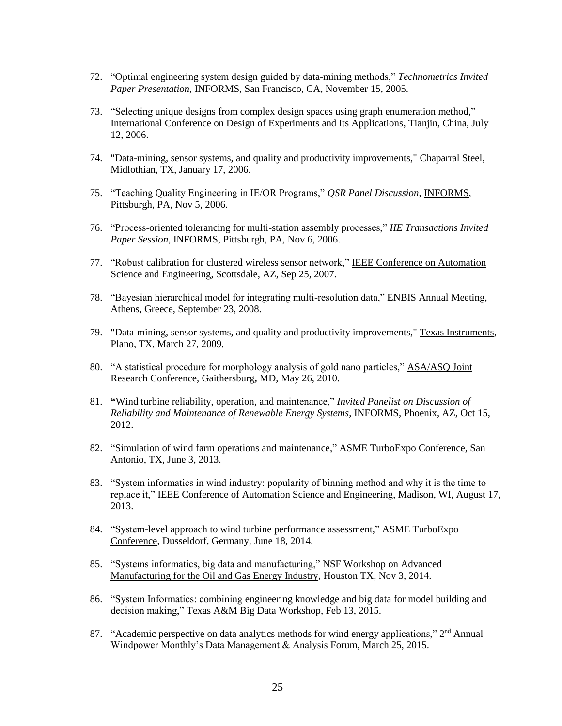- 72. "Optimal engineering system design guided by data-mining methods," *Technometrics Invited Paper Presentation*, INFORMS, San Francisco, CA, November 15, 2005.
- 73. "Selecting unique designs from complex design spaces using graph enumeration method," International Conference on Design of Experiments and Its Applications, Tianjin, China, July 12, 2006.
- 74. "Data-mining, sensor systems, and quality and productivity improvements," Chaparral Steel, Midlothian, TX, January 17, 2006.
- 75. "Teaching Quality Engineering in IE/OR Programs," *QSR Panel Discussion*, INFORMS, Pittsburgh, PA, Nov 5, 2006.
- 76. "Process-oriented tolerancing for multi-station assembly processes," *IIE Transactions Invited Paper Session*, INFORMS, Pittsburgh, PA, Nov 6, 2006.
- 77. "Robust calibration for clustered wireless sensor network," IEEE Conference on Automation Science and Engineering, Scottsdale, AZ, Sep 25, 2007.
- 78. "Bayesian hierarchical model for integrating multi-resolution data," ENBIS Annual Meeting, Athens, Greece, September 23, 2008.
- 79. "Data-mining, sensor systems, and quality and productivity improvements," Texas Instruments, Plano, TX, March 27, 2009.
- 80. "A statistical procedure for morphology analysis of gold nano particles," ASA/ASQ Joint Research Conference, Gaithersburg**,** MD, May 26, 2010.
- 81. **"**Wind turbine reliability, operation, and maintenance," *Invited Panelist on Discussion of Reliability and Maintenance of Renewable Energy Systems*, INFORMS, Phoenix, AZ, Oct 15, 2012.
- 82. "Simulation of wind farm operations and maintenance," ASME TurboExpo Conference, San Antonio, TX, June 3, 2013.
- 83. "System informatics in wind industry: popularity of binning method and why it is the time to replace it," IEEE Conference of Automation Science and Engineering, Madison, WI, August 17, 2013.
- 84. "System-level approach to wind turbine performance assessment," ASME TurboExpo Conference, Dusseldorf, Germany, June 18, 2014.
- 85. "Systems informatics, big data and manufacturing," NSF Workshop on Advanced Manufacturing for the Oil and Gas Energy Industry, Houston TX, Nov 3, 2014.
- 86. "System Informatics: combining engineering knowledge and big data for model building and decision making," Texas A&M Big Data Workshop, Feb 13, 2015.
- 87. "Academic perspective on data analytics methods for wind energy applications," 2<sup>nd</sup> Annual Windpower Monthly's Data Management & Analysis Forum, March 25, 2015.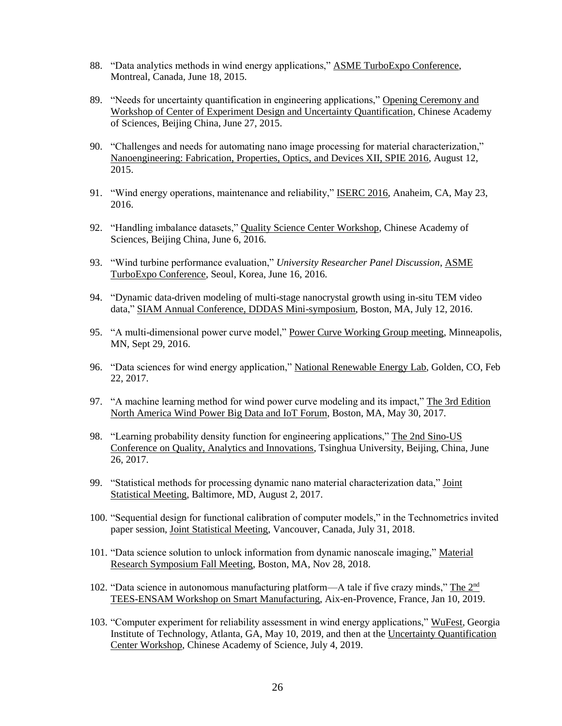- 88. "Data analytics methods in wind energy applications," ASME TurboExpo Conference, Montreal, Canada, June 18, 2015.
- 89. "Needs for uncertainty quantification in engineering applications," Opening Ceremony and Workshop of Center of Experiment Design and Uncertainty Quantification, Chinese Academy of Sciences, Beijing China, June 27, 2015.
- 90. "Challenges and needs for automating nano image processing for material characterization," Nanoengineering: Fabrication, Properties, Optics, and Devices XII, SPIE 2016, August 12, 2015.
- 91. "Wind energy operations, maintenance and reliability," ISERC 2016, Anaheim, CA, May 23, 2016.
- 92. "Handling imbalance datasets," Quality Science Center Workshop, Chinese Academy of Sciences, Beijing China, June 6, 2016.
- 93. "Wind turbine performance evaluation," *University Researcher Panel Discussion*, ASME TurboExpo Conference, Seoul, Korea, June 16, 2016.
- 94. "Dynamic data-driven modeling of multi-stage nanocrystal growth using in-situ TEM video data," SIAM Annual Conference, DDDAS Mini-symposium, Boston, MA, July 12, 2016.
- 95. "A multi-dimensional power curve model," Power Curve Working Group meeting, Minneapolis, MN, Sept 29, 2016.
- 96. "Data sciences for wind energy application," National Renewable Energy Lab, Golden, CO, Feb 22, 2017.
- 97. "A machine learning method for wind power curve modeling and its impact," The 3rd Edition North America Wind Power Big Data and IoT Forum, Boston, MA, May 30, 2017.
- 98. "Learning probability density function for engineering applications," The 2nd Sino-US Conference on Quality, Analytics and Innovations, Tsinghua University, Beijing, China, June 26, 2017.
- 99. "Statistical methods for processing dynamic nano material characterization data," Joint Statistical Meeting, Baltimore, MD, August 2, 2017.
- 100. "Sequential design for functional calibration of computer models," in the Technometrics invited paper session, Joint Statistical Meeting, Vancouver, Canada, July 31, 2018.
- 101. "Data science solution to unlock information from dynamic nanoscale imaging," Material Research Symposium Fall Meeting, Boston, MA, Nov 28, 2018.
- 102. "Data science in autonomous manufacturing platform—A tale if five crazy minds," The 2nd TEES-ENSAM Workshop on Smart Manufacturing, Aix-en-Provence, France, Jan 10, 2019.
- 103. "Computer experiment for reliability assessment in wind energy applications," WuFest, Georgia Institute of Technology, Atlanta, GA, May 10, 2019, and then at the Uncertainty Quantification Center Workshop, Chinese Academy of Science, July 4, 2019.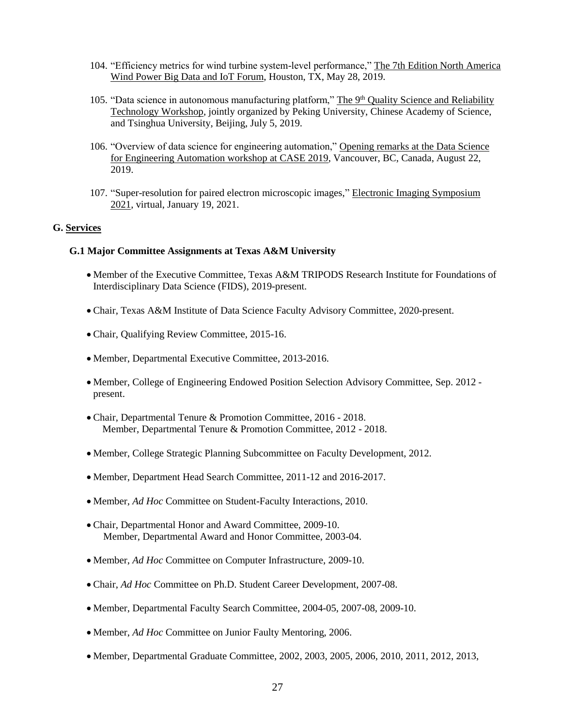- 104. "Efficiency metrics for wind turbine system-level performance," The 7th Edition North America Wind Power Big Data and IoT Forum, Houston, TX, May 28, 2019.
- 105. "Data science in autonomous manufacturing platform," The 9<sup>th</sup> Quality Science and Reliability Technology Workshop, jointly organized by Peking University, Chinese Academy of Science, and Tsinghua University, Beijing, July 5, 2019.
- 106. "Overview of data science for engineering automation," Opening remarks at the Data Science for Engineering Automation workshop at CASE 2019, Vancouver, BC, Canada, August 22, 2019.
- 107. "Super-resolution for paired electron microscopic images," Electronic Imaging Symposium 2021, virtual, January 19, 2021.

### **G. Services**

#### **G.1 Major Committee Assignments at Texas A&M University**

- Member of the Executive Committee, Texas A&M TRIPODS Research Institute for Foundations of Interdisciplinary Data Science (FIDS), 2019-present.
- Chair, Texas A&M Institute of Data Science Faculty Advisory Committee, 2020-present.
- Chair, Qualifying Review Committee, 2015-16.
- Member, Departmental Executive Committee, 2013-2016.
- Member, College of Engineering Endowed Position Selection Advisory Committee, Sep. 2012 present.
- Chair, Departmental Tenure & Promotion Committee, 2016 2018. Member, Departmental Tenure & Promotion Committee, 2012 - 2018.
- Member, College Strategic Planning Subcommittee on Faculty Development, 2012.
- Member, Department Head Search Committee, 2011-12 and 2016-2017.
- Member, *Ad Hoc* Committee on Student-Faculty Interactions, 2010.
- Chair, Departmental Honor and Award Committee, 2009-10. Member, Departmental Award and Honor Committee, 2003-04.
- Member, *Ad Hoc* Committee on Computer Infrastructure, 2009-10.
- Chair, *Ad Hoc* Committee on Ph.D. Student Career Development, 2007-08.
- Member, Departmental Faculty Search Committee, 2004-05, 2007-08, 2009-10.
- Member, *Ad Hoc* Committee on Junior Faulty Mentoring, 2006.
- Member, Departmental Graduate Committee, 2002, 2003, 2005, 2006, 2010, 2011, 2012, 2013,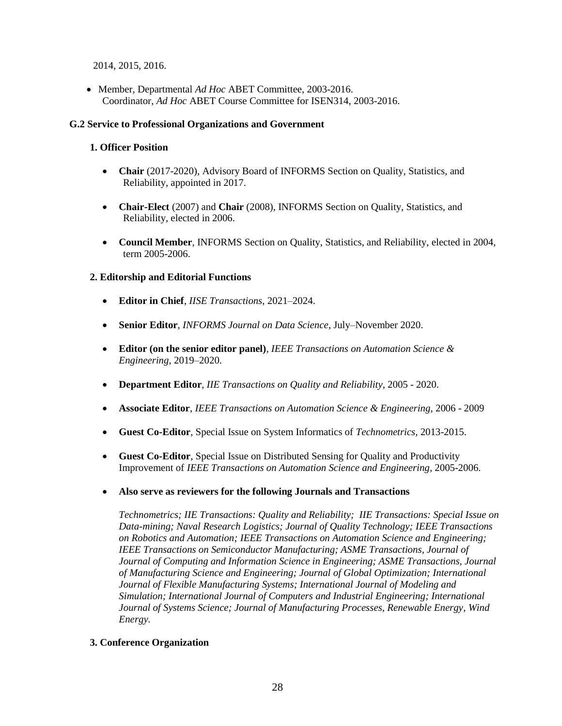2014, 2015, 2016.

• Member, Departmental *Ad Hoc* ABET Committee, 2003-2016. Coordinator, *Ad Hoc* ABET Course Committee for ISEN314, 2003-2016.

### **G.2 Service to Professional Organizations and Government**

## **1. Officer Position**

- **Chair** (2017-2020), Advisory Board of INFORMS Section on Quality, Statistics, and Reliability, appointed in 2017.
- **Chair-Elect** (2007) and **Chair** (2008), INFORMS Section on Quality, Statistics, and Reliability, elected in 2006.
- **Council Member**, INFORMS Section on Quality, Statistics, and Reliability, elected in 2004, term 2005-2006.

## **2. Editorship and Editorial Functions**

- **Editor in Chief**, *IISE Transactions*, 2021–2024.
- **Senior Editor**, *INFORMS Journal on Data Science*, July–November 2020.
- **Editor (on the senior editor panel)**, *IEEE Transactions on Automation Science & Engineering*, 2019–2020.
- **Department Editor**, *IIE Transactions on Quality and Reliability*, 2005 2020.
- **Associate Editor**, *IEEE Transactions on Automation Science & Engineering*, 2006 2009
- **Guest Co-Editor**, Special Issue on System Informatics of *Technometrics*, 2013-2015.
- **Guest Co-Editor**, Special Issue on Distributed Sensing for Quality and Productivity Improvement of *IEEE Transactions on Automation Science and Engineering*, 2005-2006.
- **Also serve as reviewers for the following Journals and Transactions**

*Technometrics; IIE Transactions: Quality and Reliability; IIE Transactions: Special Issue on Data-mining; Naval Research Logistics; Journal of Quality Technology; IEEE Transactions on Robotics and Automation; IEEE Transactions on Automation Science and Engineering; IEEE Transactions on Semiconductor Manufacturing; ASME Transactions, Journal of Journal of Computing and Information Science in Engineering; ASME Transactions, Journal of Manufacturing Science and Engineering; Journal of Global Optimization; International Journal of Flexible Manufacturing Systems; International Journal of Modeling and Simulation; International Journal of Computers and Industrial Engineering; International Journal of Systems Science; Journal of Manufacturing Processes, Renewable Energy, Wind Energy.*

### **3. Conference Organization**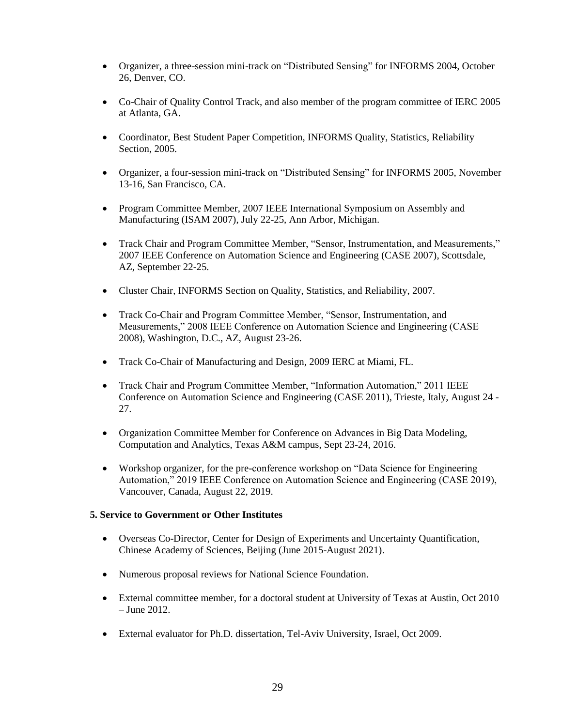- Organizer, a three-session mini-track on "Distributed Sensing" for INFORMS 2004, October 26, Denver, CO.
- Co-Chair of Quality Control Track, and also member of the program committee of IERC 2005 at Atlanta, GA.
- Coordinator, Best Student Paper Competition, INFORMS Quality, Statistics, Reliability Section, 2005.
- Organizer, a four-session mini-track on "Distributed Sensing" for INFORMS 2005, November 13-16, San Francisco, CA.
- Program Committee Member, 2007 IEEE International Symposium on Assembly and Manufacturing (ISAM 2007), July 22-25, Ann Arbor, Michigan.
- Track Chair and Program Committee Member, "Sensor, Instrumentation, and Measurements," 2007 IEEE Conference on Automation Science and Engineering (CASE 2007), Scottsdale, AZ, September 22-25.
- Cluster Chair, INFORMS Section on Quality, Statistics, and Reliability, 2007.
- Track Co-Chair and Program Committee Member, "Sensor, Instrumentation, and Measurements," 2008 IEEE Conference on Automation Science and Engineering (CASE 2008), Washington, D.C., AZ, August 23-26.
- Track Co-Chair of Manufacturing and Design, 2009 IERC at Miami, FL.
- Track Chair and Program Committee Member, "Information Automation," 2011 IEEE Conference on Automation Science and Engineering (CASE 2011), Trieste, Italy, August 24 - 27.
- Organization Committee Member for Conference on Advances in Big Data Modeling, Computation and Analytics, Texas A&M campus, Sept 23-24, 2016.
- Workshop organizer, for the pre-conference workshop on "Data Science for Engineering Automation," 2019 IEEE Conference on Automation Science and Engineering (CASE 2019), Vancouver, Canada, August 22, 2019.

### **5. Service to Government or Other Institutes**

- Overseas Co-Director, Center for Design of Experiments and Uncertainty Quantification, Chinese Academy of Sciences, Beijing (June 2015-August 2021).
- Numerous proposal reviews for National Science Foundation.
- External committee member, for a doctoral student at University of Texas at Austin, Oct 2010 – June 2012.
- External evaluator for Ph.D. dissertation, Tel-Aviv University, Israel, Oct 2009.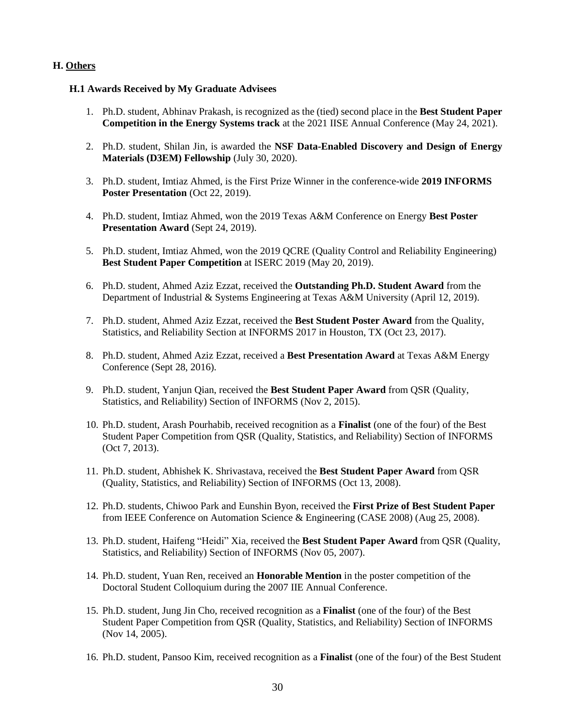## **H. Others**

### **H.1 Awards Received by My Graduate Advisees**

- 1. Ph.D. student, Abhinav Prakash, is recognized as the (tied) second place in the **Best Student Paper Competition in the Energy Systems track** at the 2021 IISE Annual Conference (May 24, 2021).
- 2. Ph.D. student, Shilan Jin, is awarded the **NSF Data-Enabled Discovery and Design of Energy Materials (D3EM) Fellowship** (July 30, 2020).
- 3. Ph.D. student, Imtiaz Ahmed, is the First Prize Winner in the conference-wide **2019 INFORMS Poster Presentation (Oct 22, 2019).**
- 4. Ph.D. student, Imtiaz Ahmed, won the 2019 Texas A&M Conference on Energy **Best Poster Presentation Award** (Sept 24, 2019).
- 5. Ph.D. student, Imtiaz Ahmed, won the 2019 QCRE (Quality Control and Reliability Engineering) **Best Student Paper Competition** at ISERC 2019 (May 20, 2019).
- 6. Ph.D. student, Ahmed Aziz Ezzat, received the **Outstanding Ph.D. Student Award** from the Department of Industrial & Systems Engineering at Texas A&M University (April 12, 2019).
- 7. Ph.D. student, Ahmed Aziz Ezzat, received the **Best Student Poster Award** from the Quality, Statistics, and Reliability Section at INFORMS 2017 in Houston, TX (Oct 23, 2017).
- 8. Ph.D. student, Ahmed Aziz Ezzat, received a **Best Presentation Award** at Texas A&M Energy Conference (Sept 28, 2016).
- 9. Ph.D. student, Yanjun Qian, received the **Best Student Paper Award** from QSR (Quality, Statistics, and Reliability) Section of INFORMS (Nov 2, 2015).
- 10. Ph.D. student, Arash Pourhabib, received recognition as a **Finalist** (one of the four) of the Best Student Paper Competition from QSR (Quality, Statistics, and Reliability) Section of INFORMS (Oct 7, 2013).
- 11. Ph.D. student, Abhishek K. Shrivastava, received the **Best Student Paper Award** from QSR (Quality, Statistics, and Reliability) Section of INFORMS (Oct 13, 2008).
- 12. Ph.D. students, Chiwoo Park and Eunshin Byon, received the **First Prize of Best Student Paper**  from IEEE Conference on Automation Science & Engineering (CASE 2008) (Aug 25, 2008).
- 13. Ph.D. student, Haifeng "Heidi" Xia, received the **Best Student Paper Award** from QSR (Quality, Statistics, and Reliability) Section of INFORMS (Nov 05, 2007).
- 14. Ph.D. student, Yuan Ren, received an **Honorable Mention** in the poster competition of the Doctoral Student Colloquium during the 2007 IIE Annual Conference.
- 15. Ph.D. student, Jung Jin Cho, received recognition as a **Finalist** (one of the four) of the Best Student Paper Competition from QSR (Quality, Statistics, and Reliability) Section of INFORMS (Nov 14, 2005).
- 16. Ph.D. student, Pansoo Kim, received recognition as a **Finalist** (one of the four) of the Best Student